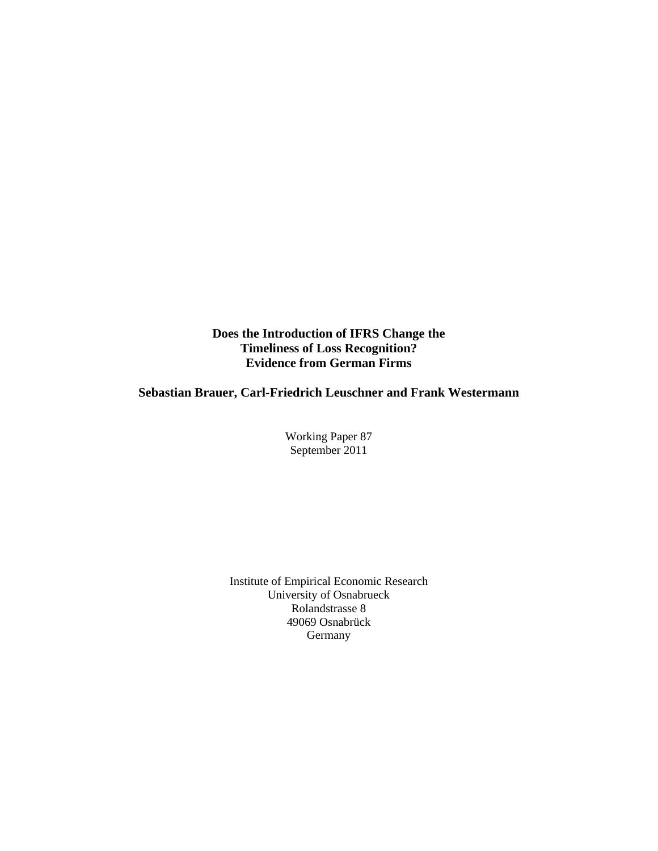**Does the Introduction of IFRS Change the Timeliness of Loss Recognition? Evidence from German Firms** 

# **Sebastian Brauer, Carl-Friedrich Leuschner and Frank Westermann**

Working Paper 87 September 2011

Institute of Empirical Economic Research University of Osnabrueck Rolandstrasse 8 49069 Osnabrück Germany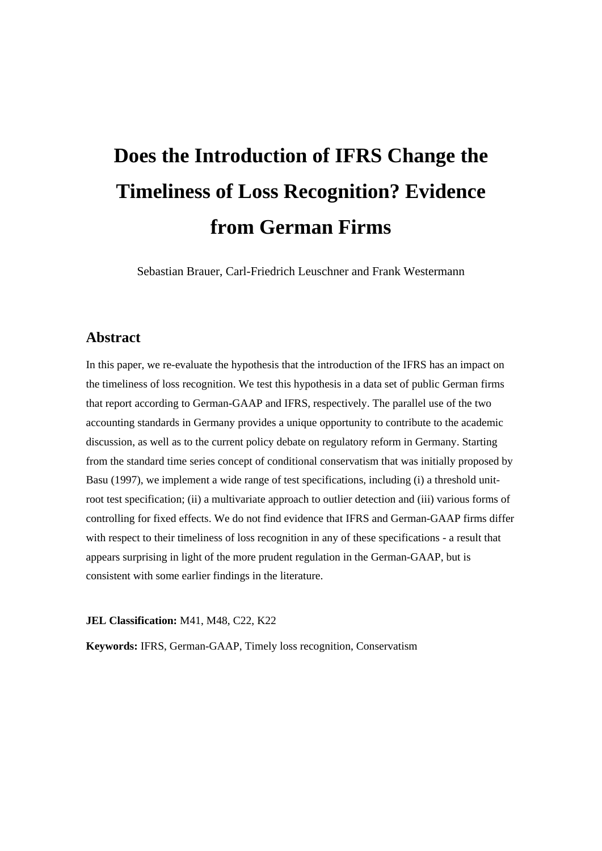# **Does the Introduction of IFRS Change the Timeliness of Loss Recognition? Evidence from German Firms**

Sebastian Brauer, Carl-Friedrich Leuschner and Frank Westermann

# **Abstract**

In this paper, we re-evaluate the hypothesis that the introduction of the IFRS has an impact on the timeliness of loss recognition. We test this hypothesis in a data set of public German firms that report according to German-GAAP and IFRS, respectively. The parallel use of the two accounting standards in Germany provides a unique opportunity to contribute to the academic discussion, as well as to the current policy debate on regulatory reform in Germany. Starting from the standard time series concept of conditional conservatism that was initially proposed by Basu (1997), we implement a wide range of test specifications, including (i) a threshold unitroot test specification; (ii) a multivariate approach to outlier detection and (iii) various forms of controlling for fixed effects. We do not find evidence that IFRS and German-GAAP firms differ with respect to their timeliness of loss recognition in any of these specifications - a result that appears surprising in light of the more prudent regulation in the German-GAAP, but is consistent with some earlier findings in the literature.

**JEL Classification:** M41, M48, C22, K22

**Keywords:** IFRS, German-GAAP, Timely loss recognition, Conservatism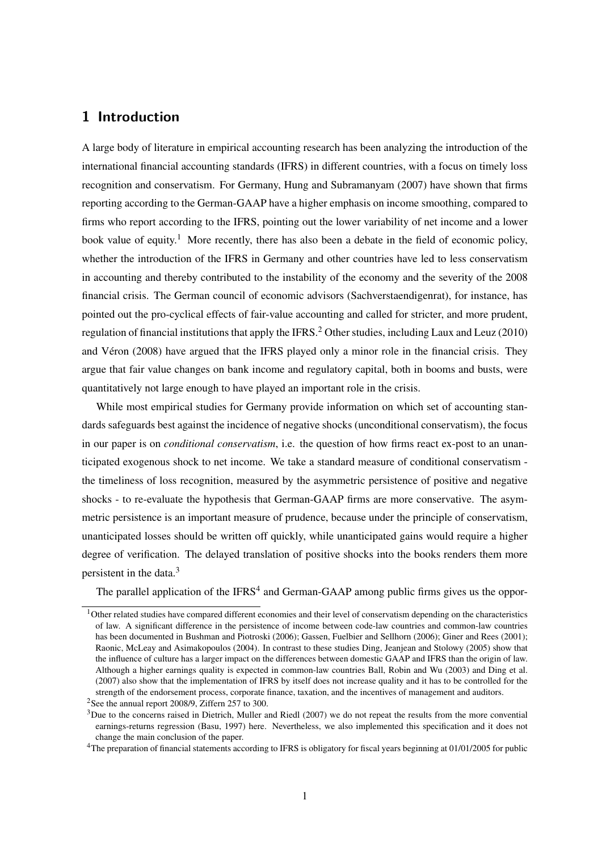## **1 Introduction**

A large body of literature in empirical accounting research has been analyzing the introduction of the international financial accounting standards (IFRS) in different countries, with a focus on timely loss recognition and conservatism. For Germany, Hung and Subramanyam (2007) have shown that firms reporting according to the German-GAAP have a higher emphasis on income smoothing, compared to firms who report according to the IFRS, pointing out the lower variability of net income and a lower book value of equity.<sup>1</sup> More recently, there has also been a debate in the field of economic policy, whether the introduction of the IFRS in Germany and other countries have led to less conservatism in accounting and thereby contributed to the instability of the economy and the severity of the 2008 financial crisis. The German council of economic advisors (Sachverstaendigenrat), for instance, has pointed out the pro-cyclical effects of fair-value accounting and called for stricter, and more prudent, regulation of financial institutions that apply the IFRS.<sup>2</sup> Other studies, including Laux and Leuz (2010) and Véron (2008) have argued that the IFRS played only a minor role in the financial crisis. They argue that fair value changes on bank income and regulatory capital, both in booms and busts, were quantitatively not large enough to have played an important role in the crisis.

While most empirical studies for Germany provide information on which set of accounting standards safeguards best against the incidence of negative shocks (unconditional conservatism), the focus in our paper is on *conditional conservatism*, i.e. the question of how firms react ex-post to an unanticipated exogenous shock to net income. We take a standard measure of conditional conservatism the timeliness of loss recognition, measured by the asymmetric persistence of positive and negative shocks - to re-evaluate the hypothesis that German-GAAP firms are more conservative. The asymmetric persistence is an important measure of prudence, because under the principle of conservatism, unanticipated losses should be written off quickly, while unanticipated gains would require a higher degree of verification. The delayed translation of positive shocks into the books renders them more persistent in the data.<sup>3</sup>

The parallel application of the IFRS<sup>4</sup> and German-GAAP among public firms gives us the oppor-

 $1$ Other related studies have compared different economies and their level of conservatism depending on the characteristics of law. A significant difference in the persistence of income between code-law countries and common-law countries has been documented in Bushman and Piotroski (2006); Gassen, Fuelbier and Sellhorn (2006); Giner and Rees (2001); Raonic, McLeay and Asimakopoulos (2004). In contrast to these studies Ding, Jeanjean and Stolowy (2005) show that the influence of culture has a larger impact on the differences between domestic GAAP and IFRS than the origin of law. Although a higher earnings quality is expected in common-law countries Ball, Robin and Wu (2003) and Ding et al. (2007) also show that the implementation of IFRS by itself does not increase quality and it has to be controlled for the strength of the endorsement process, corporate finance, taxation, and the incentives of management and auditors.

<sup>&</sup>lt;sup>2</sup>See the annual report 2008/9, Ziffern 257 to 300.

 $3$ Due to the concerns raised in Dietrich, Muller and Riedl (2007) we do not repeat the results from the more convential earnings-returns regression (Basu, 1997) here. Nevertheless, we also implemented this specification and it does not change the main conclusion of the paper.

<sup>&</sup>lt;sup>4</sup>The preparation of financial statements according to IFRS is obligatory for fiscal years beginning at 01/01/2005 for public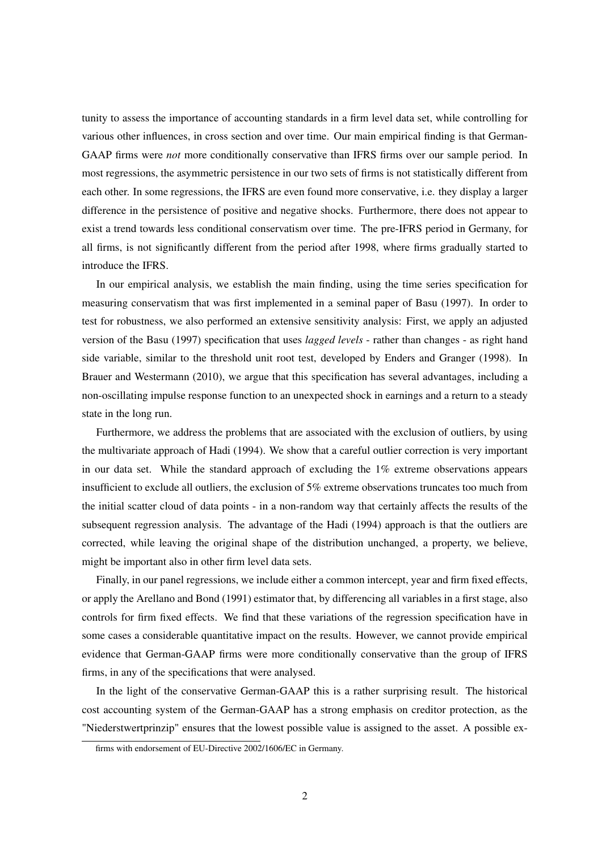tunity to assess the importance of accounting standards in a firm level data set, while controlling for various other influences, in cross section and over time. Our main empirical finding is that German-GAAP firms were *not* more conditionally conservative than IFRS firms over our sample period. In most regressions, the asymmetric persistence in our two sets of firms is not statistically different from each other. In some regressions, the IFRS are even found more conservative, i.e. they display a larger difference in the persistence of positive and negative shocks. Furthermore, there does not appear to exist a trend towards less conditional conservatism over time. The pre-IFRS period in Germany, for all firms, is not significantly different from the period after 1998, where firms gradually started to introduce the IFRS.

In our empirical analysis, we establish the main finding, using the time series specification for measuring conservatism that was first implemented in a seminal paper of Basu (1997). In order to test for robustness, we also performed an extensive sensitivity analysis: First, we apply an adjusted version of the Basu (1997) specification that uses *lagged levels* - rather than changes - as right hand side variable, similar to the threshold unit root test, developed by Enders and Granger (1998). In Brauer and Westermann (2010), we argue that this specification has several advantages, including a non-oscillating impulse response function to an unexpected shock in earnings and a return to a steady state in the long run.

Furthermore, we address the problems that are associated with the exclusion of outliers, by using the multivariate approach of Hadi (1994). We show that a careful outlier correction is very important in our data set. While the standard approach of excluding the 1% extreme observations appears insufficient to exclude all outliers, the exclusion of 5% extreme observations truncates too much from the initial scatter cloud of data points - in a non-random way that certainly affects the results of the subsequent regression analysis. The advantage of the Hadi (1994) approach is that the outliers are corrected, while leaving the original shape of the distribution unchanged, a property, we believe, might be important also in other firm level data sets.

Finally, in our panel regressions, we include either a common intercept, year and firm fixed effects, or apply the Arellano and Bond (1991) estimator that, by differencing all variables in a first stage, also controls for firm fixed effects. We find that these variations of the regression specification have in some cases a considerable quantitative impact on the results. However, we cannot provide empirical evidence that German-GAAP firms were more conditionally conservative than the group of IFRS firms, in any of the specifications that were analysed.

In the light of the conservative German-GAAP this is a rather surprising result. The historical cost accounting system of the German-GAAP has a strong emphasis on creditor protection, as the "Niederstwertprinzip" ensures that the lowest possible value is assigned to the asset. A possible ex-

firms with endorsement of EU-Directive 2002/1606/EC in Germany.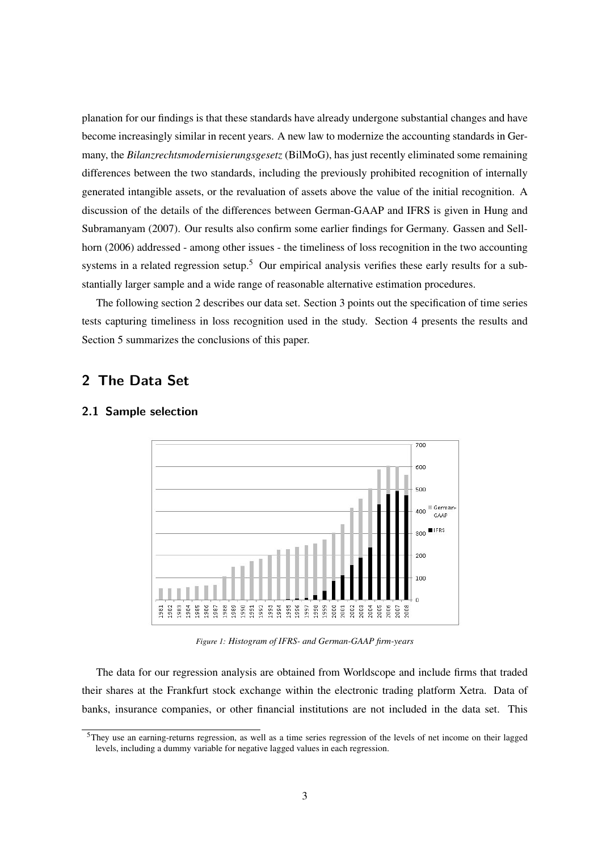planation for our findings is that these standards have already undergone substantial changes and have become increasingly similar in recent years. A new law to modernize the accounting standards in Germany, the *Bilanzrechtsmodernisierungsgesetz* (BilMoG), has just recently eliminated some remaining differences between the two standards, including the previously prohibited recognition of internally generated intangible assets, or the revaluation of assets above the value of the initial recognition. A discussion of the details of the differences between German-GAAP and IFRS is given in Hung and Subramanyam (2007). Our results also confirm some earlier findings for Germany. Gassen and Sellhorn (2006) addressed - among other issues - the timeliness of loss recognition in the two accounting systems in a related regression setup.<sup>5</sup> Our empirical analysis verifies these early results for a substantially larger sample and a wide range of reasonable alternative estimation procedures.

The following section 2 describes our data set. Section 3 points out the specification of time series tests capturing timeliness in loss recognition used in the study. Section 4 presents the results and Section 5 summarizes the conclusions of this paper.

# **2 The Data Set**



#### **2.1 Sample selection**

*Figure 1: Histogram of IFRS- and German-GAAP firm-years*

The data for our regression analysis are obtained from Worldscope and include firms that traded their shares at the Frankfurt stock exchange within the electronic trading platform Xetra. Data of banks, insurance companies, or other financial institutions are not included in the data set. This

<sup>5</sup>They use an earning-returns regression, as well as a time series regression of the levels of net income on their lagged levels, including a dummy variable for negative lagged values in each regression.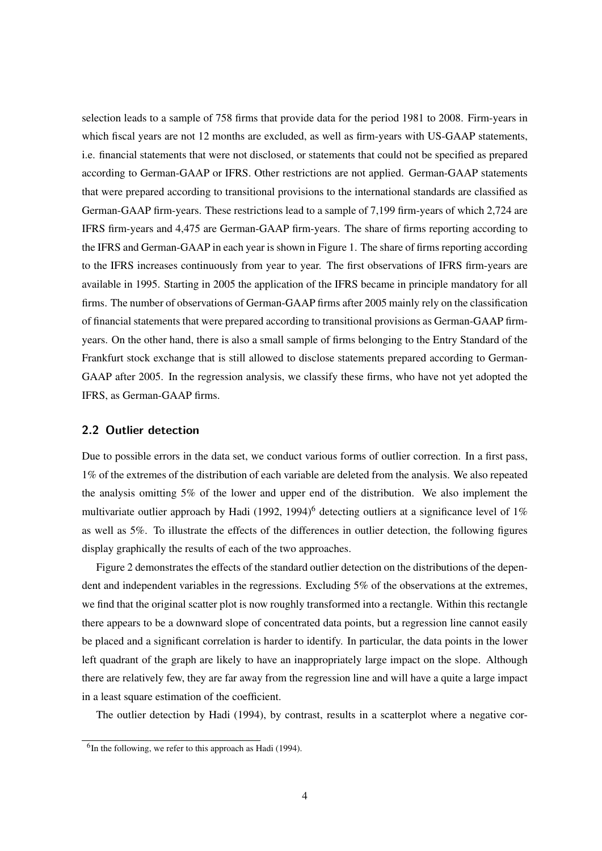selection leads to a sample of 758 firms that provide data for the period 1981 to 2008. Firm-years in which fiscal years are not 12 months are excluded, as well as firm-years with US-GAAP statements, i.e. financial statements that were not disclosed, or statements that could not be specified as prepared according to German-GAAP or IFRS. Other restrictions are not applied. German-GAAP statements that were prepared according to transitional provisions to the international standards are classified as German-GAAP firm-years. These restrictions lead to a sample of 7,199 firm-years of which 2,724 are IFRS firm-years and 4,475 are German-GAAP firm-years. The share of firms reporting according to the IFRS and German-GAAP in each year is shown in Figure 1. The share of firms reporting according to the IFRS increases continuously from year to year. The first observations of IFRS firm-years are available in 1995. Starting in 2005 the application of the IFRS became in principle mandatory for all firms. The number of observations of German-GAAP firms after 2005 mainly rely on the classification of financial statements that were prepared according to transitional provisions as German-GAAP firmyears. On the other hand, there is also a small sample of firms belonging to the Entry Standard of the Frankfurt stock exchange that is still allowed to disclose statements prepared according to German-GAAP after 2005. In the regression analysis, we classify these firms, who have not yet adopted the IFRS, as German-GAAP firms.

## **2.2 Outlier detection**

Due to possible errors in the data set, we conduct various forms of outlier correction. In a first pass, 1% of the extremes of the distribution of each variable are deleted from the analysis. We also repeated the analysis omitting 5% of the lower and upper end of the distribution. We also implement the multivariate outlier approach by Hadi (1992, 1994)<sup>6</sup> detecting outliers at a significance level of 1% as well as 5%. To illustrate the effects of the differences in outlier detection, the following figures display graphically the results of each of the two approaches.

Figure 2 demonstrates the effects of the standard outlier detection on the distributions of the dependent and independent variables in the regressions. Excluding 5% of the observations at the extremes, we find that the original scatter plot is now roughly transformed into a rectangle. Within this rectangle there appears to be a downward slope of concentrated data points, but a regression line cannot easily be placed and a significant correlation is harder to identify. In particular, the data points in the lower left quadrant of the graph are likely to have an inappropriately large impact on the slope. Although there are relatively few, they are far away from the regression line and will have a quite a large impact in a least square estimation of the coefficient.

The outlier detection by Hadi (1994), by contrast, results in a scatterplot where a negative cor-

<sup>&</sup>lt;sup>6</sup>In the following, we refer to this approach as Hadi (1994).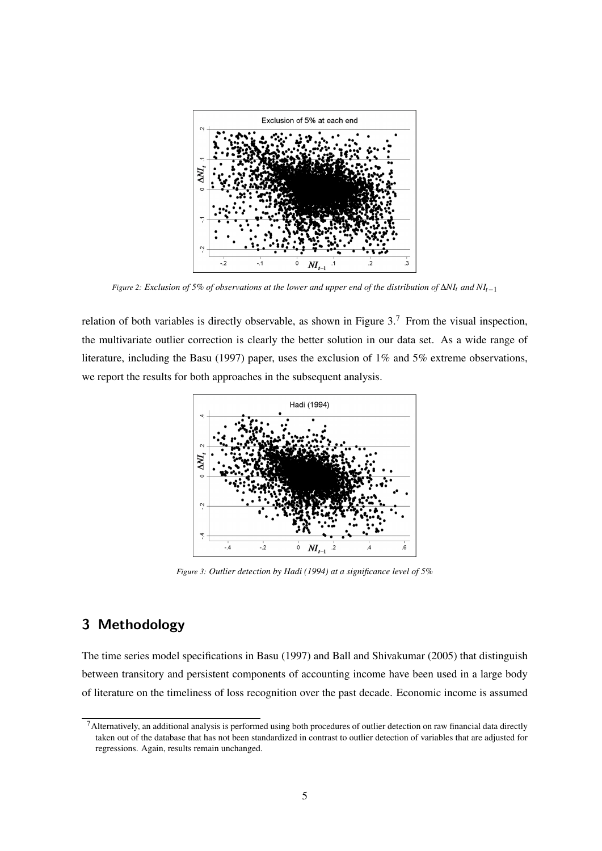

*Figure 2: Exclusion of 5% of observations at the lower and upper end of the distribution of* ∆*NI<sup>t</sup> and NIt*−<sup>1</sup>

relation of both variables is directly observable, as shown in Figure  $3.7$  From the visual inspection, the multivariate outlier correction is clearly the better solution in our data set. As a wide range of literature, including the Basu (1997) paper, uses the exclusion of 1% and 5% extreme observations, we report the results for both approaches in the subsequent analysis.



*Figure 3: Outlier detection by Hadi (1994) at a significance level of 5%*

# **3 Methodology**

The time series model specifications in Basu (1997) and Ball and Shivakumar (2005) that distinguish between transitory and persistent components of accounting income have been used in a large body of literature on the timeliness of loss recognition over the past decade. Economic income is assumed

 $<sup>7</sup>$ Alternatively, an additional analysis is performed using both procedures of outlier detection on raw financial data directly</sup> taken out of the database that has not been standardized in contrast to outlier detection of variables that are adjusted for regressions. Again, results remain unchanged.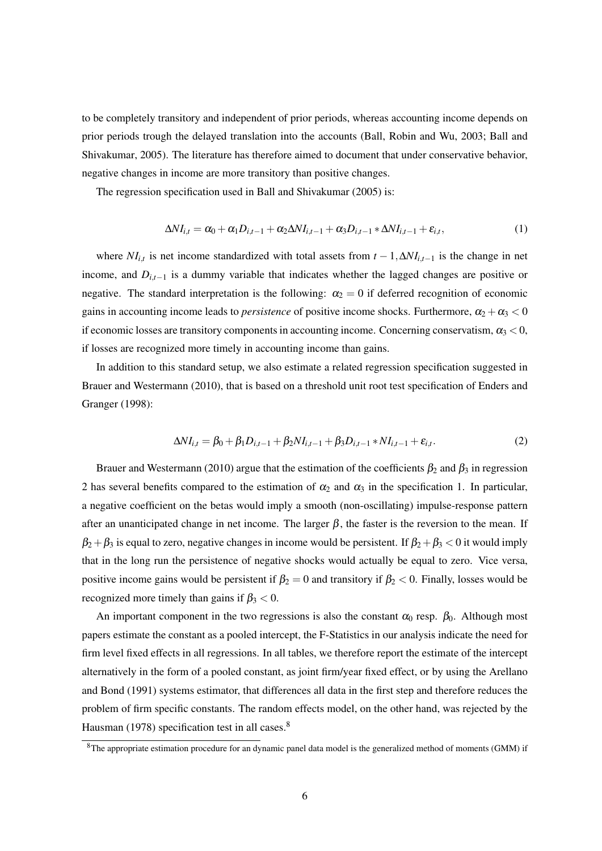to be completely transitory and independent of prior periods, whereas accounting income depends on prior periods trough the delayed translation into the accounts (Ball, Robin and Wu, 2003; Ball and Shivakumar, 2005). The literature has therefore aimed to document that under conservative behavior, negative changes in income are more transitory than positive changes.

The regression specification used in Ball and Shivakumar (2005) is:

$$
\Delta NI_{i,t} = \alpha_0 + \alpha_1 D_{i,t-1} + \alpha_2 \Delta NI_{i,t-1} + \alpha_3 D_{i,t-1} * \Delta NI_{i,t-1} + \varepsilon_{i,t},
$$
\n(1)

where  $NI_{i,t}$  is net income standardized with total assets from  $t - 1$ ,  $\Delta NI_{i,t-1}$  is the change in net income, and  $D_{i,t-1}$  is a dummy variable that indicates whether the lagged changes are positive or negative. The standard interpretation is the following:  $\alpha_2 = 0$  if deferred recognition of economic gains in accounting income leads to *persistence* of positive income shocks. Furthermore,  $\alpha_2 + \alpha_3 < 0$ if economic losses are transitory components in accounting income. Concerning conservatism,  $\alpha_3 < 0$ , if losses are recognized more timely in accounting income than gains.

In addition to this standard setup, we also estimate a related regression specification suggested in Brauer and Westermann (2010), that is based on a threshold unit root test specification of Enders and Granger (1998):

$$
\Delta NI_{i,t} = \beta_0 + \beta_1 D_{i,t-1} + \beta_2 NI_{i,t-1} + \beta_3 D_{i,t-1} * NI_{i,t-1} + \varepsilon_{i,t}.
$$
 (2)

Brauer and Westermann (2010) argue that the estimation of the coefficients  $\beta_2$  and  $\beta_3$  in regression 2 has several benefits compared to the estimation of  $\alpha_2$  and  $\alpha_3$  in the specification 1. In particular, a negative coefficient on the betas would imply a smooth (non-oscillating) impulse-response pattern after an unanticipated change in net income. The larger  $\beta$ , the faster is the reversion to the mean. If  $\beta_2+\beta_3$  is equal to zero, negative changes in income would be persistent. If  $\beta_2+\beta_3 < 0$  it would imply that in the long run the persistence of negative shocks would actually be equal to zero. Vice versa, positive income gains would be persistent if  $\beta_2 = 0$  and transitory if  $\beta_2 < 0$ . Finally, losses would be recognized more timely than gains if  $\beta_3 < 0$ .

An important component in the two regressions is also the constant  $\alpha_0$  resp.  $\beta_0$ . Although most papers estimate the constant as a pooled intercept, the F-Statistics in our analysis indicate the need for firm level fixed effects in all regressions. In all tables, we therefore report the estimate of the intercept alternatively in the form of a pooled constant, as joint firm/year fixed effect, or by using the Arellano and Bond (1991) systems estimator, that differences all data in the first step and therefore reduces the problem of firm specific constants. The random effects model, on the other hand, was rejected by the Hausman (1978) specification test in all cases.<sup>8</sup>

<sup>8</sup>The appropriate estimation procedure for an dynamic panel data model is the generalized method of moments (GMM) if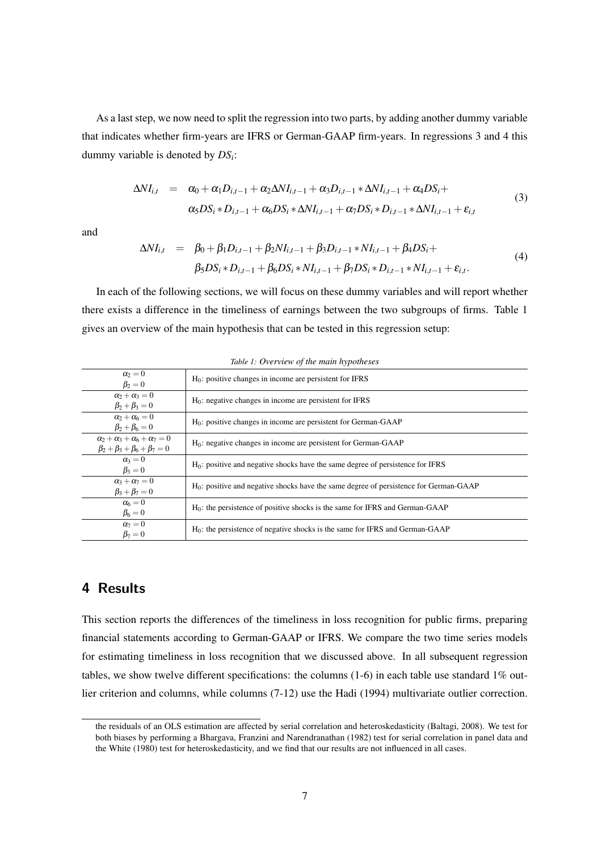As a last step, we now need to split the regression into two parts, by adding another dummy variable that indicates whether firm-years are IFRS or German-GAAP firm-years. In regressions 3 and 4 this dummy variable is denoted by *DS<sup>i</sup>* :

$$
\Delta NI_{i,t} = \alpha_0 + \alpha_1 D_{i,t-1} + \alpha_2 \Delta NI_{i,t-1} + \alpha_3 D_{i,t-1} * \Delta NI_{i,t-1} + \alpha_4 DS_i + \n\alpha_5 DS_i * D_{i,t-1} + \alpha_6 DS_i * \Delta NI_{i,t-1} + \alpha_7 DS_i * D_{i,t-1} * \Delta NI_{i,t-1} + \varepsilon_{i,t}
$$
\n(3)

and

$$
\Delta NI_{i,t} = \beta_0 + \beta_1 D_{i,t-1} + \beta_2 NI_{i,t-1} + \beta_3 D_{i,t-1} * NI_{i,t-1} + \beta_4 DS_i + \n\beta_5 DS_i * D_{i,t-1} + \beta_6 DS_i * NI_{i,t-1} + \beta_7 DS_i * D_{i,t-1} * NI_{i,t-1} + \varepsilon_{i,t}.
$$
\n(4)

In each of the following sections, we will focus on these dummy variables and will report whether there exists a difference in the timeliness of earnings between the two subgroups of firms. Table 1 gives an overview of the main hypothesis that can be tested in this regression setup:

| $\alpha_2=0$<br>$\beta_2=0$                     | $H_0$ : positive changes in income are persistent for IFRS                               |
|-------------------------------------------------|------------------------------------------------------------------------------------------|
|                                                 |                                                                                          |
| $\alpha_2 + \alpha_3 = 0$                       | $H_0$ : negative changes in income are persistent for IFRS                               |
| $\beta_2 + \beta_3 = 0$                         |                                                                                          |
| $\alpha_2 + \alpha_6 = 0$                       | $H_0$ : positive changes in income are persistent for German-GAAP                        |
| $\beta_2 + \beta_6 = 0$                         |                                                                                          |
| $\alpha_2 + \alpha_3 + \alpha_6 + \alpha_7 = 0$ | $H0$ : negative changes in income are persistent for German-GAAP                         |
| $\beta_2 + \beta_3 + \beta_6 + \beta_7 = 0$     |                                                                                          |
| $\alpha_3=0$                                    |                                                                                          |
| $\beta_3=0$                                     | $H_0$ : positive and negative shocks have the same degree of persistence for IFRS        |
| $\alpha_3 + \alpha_7 = 0$                       |                                                                                          |
| $\beta_3 + \beta_7 = 0$                         | $H_0$ : positive and negative shocks have the same degree of persistence for German-GAAP |
| $\alpha_6=0$                                    |                                                                                          |
| $\beta_6=0$                                     | $H0$ : the persistence of positive shocks is the same for IFRS and German-GAAP           |
| $\alpha_7=0$                                    |                                                                                          |
| $\beta_7=0$                                     | $H_0$ : the persistence of negative shocks is the same for IFRS and German-GAAP          |

*Table 1: Overview of the main hypotheses*

## **4 Results**

This section reports the differences of the timeliness in loss recognition for public firms, preparing financial statements according to German-GAAP or IFRS. We compare the two time series models for estimating timeliness in loss recognition that we discussed above. In all subsequent regression tables, we show twelve different specifications: the columns (1-6) in each table use standard 1% outlier criterion and columns, while columns (7-12) use the Hadi (1994) multivariate outlier correction.

the residuals of an OLS estimation are affected by serial correlation and heteroskedasticity (Baltagi, 2008). We test for both biases by performing a Bhargava, Franzini and Narendranathan (1982) test for serial correlation in panel data and the White (1980) test for heteroskedasticity, and we find that our results are not influenced in all cases.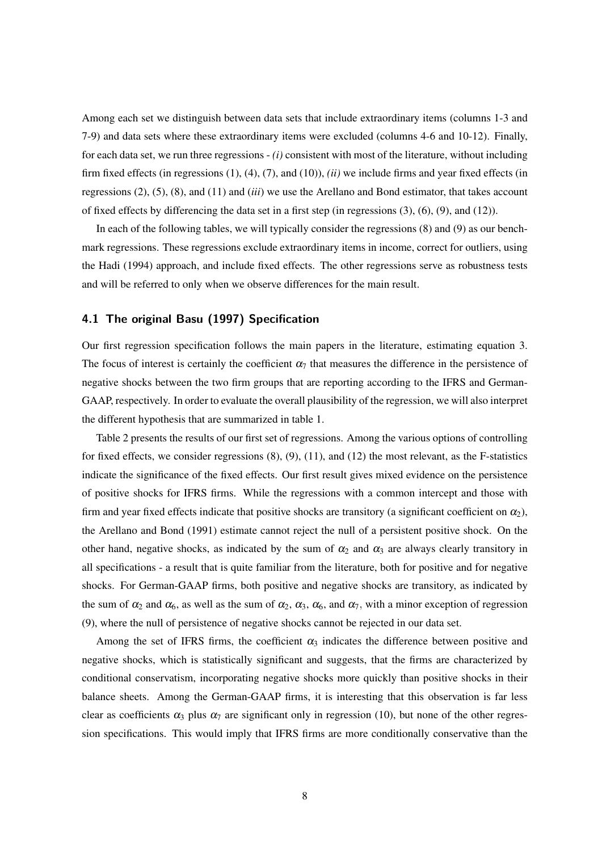Among each set we distinguish between data sets that include extraordinary items (columns 1-3 and 7-9) and data sets where these extraordinary items were excluded (columns 4-6 and 10-12). Finally, for each data set, we run three regressions - *(i)* consistent with most of the literature, without including firm fixed effects (in regressions (1), (4), (7), and (10)), *(ii)* we include firms and year fixed effects (in regressions (2), (5), (8), and (11) and (*iii*) we use the Arellano and Bond estimator, that takes account of fixed effects by differencing the data set in a first step (in regressions (3), (6), (9), and (12)).

In each of the following tables, we will typically consider the regressions (8) and (9) as our benchmark regressions. These regressions exclude extraordinary items in income, correct for outliers, using the Hadi (1994) approach, and include fixed effects. The other regressions serve as robustness tests and will be referred to only when we observe differences for the main result.

## **4.1 The original Basu (1997) Specification**

Our first regression specification follows the main papers in the literature, estimating equation 3. The focus of interest is certainly the coefficient  $\alpha_7$  that measures the difference in the persistence of negative shocks between the two firm groups that are reporting according to the IFRS and German-GAAP, respectively. In order to evaluate the overall plausibility of the regression, we will also interpret the different hypothesis that are summarized in table 1.

Table 2 presents the results of our first set of regressions. Among the various options of controlling for fixed effects, we consider regressions  $(8)$ ,  $(9)$ ,  $(11)$ , and  $(12)$  the most relevant, as the F-statistics indicate the significance of the fixed effects. Our first result gives mixed evidence on the persistence of positive shocks for IFRS firms. While the regressions with a common intercept and those with firm and year fixed effects indicate that positive shocks are transitory (a significant coefficient on  $\alpha_2$ ), the Arellano and Bond (1991) estimate cannot reject the null of a persistent positive shock. On the other hand, negative shocks, as indicated by the sum of  $\alpha_2$  and  $\alpha_3$  are always clearly transitory in all specifications - a result that is quite familiar from the literature, both for positive and for negative shocks. For German-GAAP firms, both positive and negative shocks are transitory, as indicated by the sum of  $\alpha_2$  and  $\alpha_6$ , as well as the sum of  $\alpha_2$ ,  $\alpha_3$ ,  $\alpha_6$ , and  $\alpha_7$ , with a minor exception of regression (9), where the null of persistence of negative shocks cannot be rejected in our data set.

Among the set of IFRS firms, the coefficient  $\alpha_3$  indicates the difference between positive and negative shocks, which is statistically significant and suggests, that the firms are characterized by conditional conservatism, incorporating negative shocks more quickly than positive shocks in their balance sheets. Among the German-GAAP firms, it is interesting that this observation is far less clear as coefficients  $\alpha_3$  plus  $\alpha_7$  are significant only in regression (10), but none of the other regression specifications. This would imply that IFRS firms are more conditionally conservative than the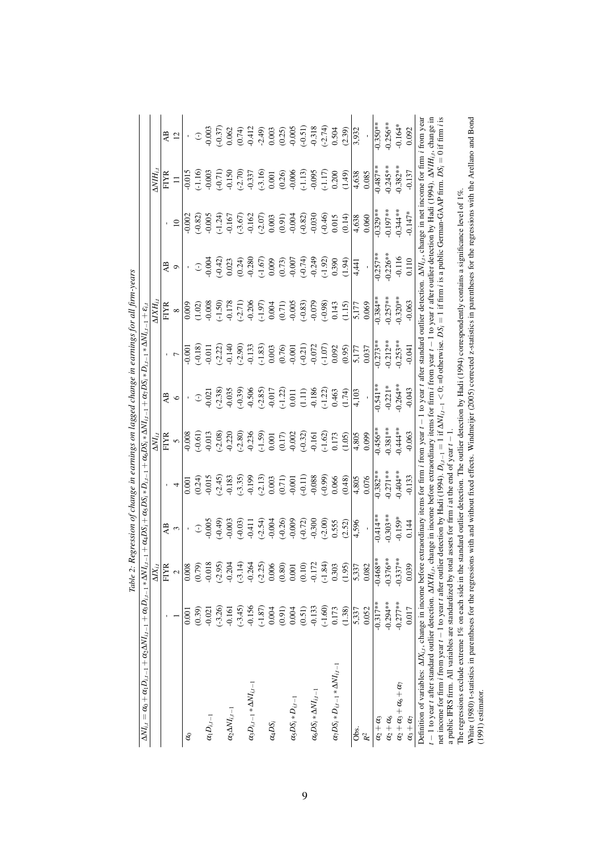| $\Delta N I_{i,t} = \alpha_0 + \alpha_1 D_{i,t-1} + \alpha_2 \Delta N I_{i,t-1} + \alpha_3 D_{i,t-1} * \Delta N I_t$                                                                                                                                                                 |            |                    |                                   |                                                                                                                                                                                                                                                                                                                                                              | $a_{t-1} + \alpha_4 DS_i + \alpha_5 DS_i * D_{i,t-1} + \alpha_6 DS_i * \Delta NI_{i,t-1} + \alpha_7 DS_i * D_{i,t-1} * \Delta NI_{i,t-1} + \varepsilon_{i,t-1}$ |                                                                                                                                                                                                                                                                                                                                                                                                                 |                                                                                                                             |                                                                                                                                                                                      |                                                                                                                                                                                                                                                                                                      |                                                                                      |                                                                                                                                                                                                                                                                                                                            |                                                                                                                                                                                                                                                                         |
|--------------------------------------------------------------------------------------------------------------------------------------------------------------------------------------------------------------------------------------------------------------------------------------|------------|--------------------|-----------------------------------|--------------------------------------------------------------------------------------------------------------------------------------------------------------------------------------------------------------------------------------------------------------------------------------------------------------------------------------------------------------|-----------------------------------------------------------------------------------------------------------------------------------------------------------------|-----------------------------------------------------------------------------------------------------------------------------------------------------------------------------------------------------------------------------------------------------------------------------------------------------------------------------------------------------------------------------------------------------------------|-----------------------------------------------------------------------------------------------------------------------------|--------------------------------------------------------------------------------------------------------------------------------------------------------------------------------------|------------------------------------------------------------------------------------------------------------------------------------------------------------------------------------------------------------------------------------------------------------------------------------------------------|--------------------------------------------------------------------------------------|----------------------------------------------------------------------------------------------------------------------------------------------------------------------------------------------------------------------------------------------------------------------------------------------------------------------------|-------------------------------------------------------------------------------------------------------------------------------------------------------------------------------------------------------------------------------------------------------------------------|
|                                                                                                                                                                                                                                                                                      |            | $\Delta$ $X_{i.i}$ |                                   |                                                                                                                                                                                                                                                                                                                                                              | $\Delta NI_{i,t}$                                                                                                                                               |                                                                                                                                                                                                                                                                                                                                                                                                                 |                                                                                                                             | $\Delta X H_i$                                                                                                                                                                       |                                                                                                                                                                                                                                                                                                      |                                                                                      | $\Delta V H_{iJ}$                                                                                                                                                                                                                                                                                                          |                                                                                                                                                                                                                                                                         |
|                                                                                                                                                                                                                                                                                      |            | FIYR               | A <sub>B</sub>                    |                                                                                                                                                                                                                                                                                                                                                              | <b>FIYR</b>                                                                                                                                                     | AB                                                                                                                                                                                                                                                                                                                                                                                                              |                                                                                                                             | <b>FIYR</b>                                                                                                                                                                          | AB                                                                                                                                                                                                                                                                                                   |                                                                                      | <b>FIYR</b>                                                                                                                                                                                                                                                                                                                | A <sub>B</sub>                                                                                                                                                                                                                                                          |
|                                                                                                                                                                                                                                                                                      |            | $\sim$             | $\mathfrak{S}$                    |                                                                                                                                                                                                                                                                                                                                                              | $\overline{6}$                                                                                                                                                  | $\circ$                                                                                                                                                                                                                                                                                                                                                                                                         |                                                                                                                             | $\infty$                                                                                                                                                                             | $\circ$                                                                                                                                                                                                                                                                                              | $\overline{10}$                                                                      | $\equiv$                                                                                                                                                                                                                                                                                                                   | 12                                                                                                                                                                                                                                                                      |
| $\delta$                                                                                                                                                                                                                                                                             | 0.001      | 0.008              |                                   | 0.001                                                                                                                                                                                                                                                                                                                                                        | 0.008                                                                                                                                                           |                                                                                                                                                                                                                                                                                                                                                                                                                 | 0.001                                                                                                                       | 0.009                                                                                                                                                                                |                                                                                                                                                                                                                                                                                                      | 0.002                                                                                | 0.015                                                                                                                                                                                                                                                                                                                      |                                                                                                                                                                                                                                                                         |
|                                                                                                                                                                                                                                                                                      | (0.39)     | (0.79)             | $\mathbb{C}$                      |                                                                                                                                                                                                                                                                                                                                                              | $(-0.61)$                                                                                                                                                       | $\mathbb{C}$                                                                                                                                                                                                                                                                                                                                                                                                    | $-0.18$                                                                                                                     | (1.02)                                                                                                                                                                               | $\mathbb{C}$                                                                                                                                                                                                                                                                                         |                                                                                      | $-1.16$                                                                                                                                                                                                                                                                                                                    | $\widehat{\mathbb{C}}$                                                                                                                                                                                                                                                  |
| $\alpha_1D_{i,t-1}$                                                                                                                                                                                                                                                                  | $-0.021$   | $-0.018$           | $-0.005$                          |                                                                                                                                                                                                                                                                                                                                                              |                                                                                                                                                                 | 0.021                                                                                                                                                                                                                                                                                                                                                                                                           |                                                                                                                             | 0.008                                                                                                                                                                                |                                                                                                                                                                                                                                                                                                      |                                                                                      |                                                                                                                                                                                                                                                                                                                            |                                                                                                                                                                                                                                                                         |
|                                                                                                                                                                                                                                                                                      | $(-3.26)$  | $(-2.95)$          | $(4.0-)$                          | $\begin{array}{l} (0.24) \\ 0.015 \\ -0.18 \\ 0.18 \\ \hline \end{array} \begin{array}{l} (0.24) \\ (1.018) \\ (-0.19) \\ (-0.19) \\ (-0.003) \\ (-0.003) \\ (-0.003) \\ (-0.11) \\ (-0.003) \\ (-0.003) \\ (-0.003) \\ (-0.003) \\ (-0.003) \\ (-0.003) \\ (-0.003) \\ (-0.003) \\ (-0.003) \\ (-0.003) \\ (-0.003) \\ (-0.003) \\ (-0.003) \\ (-0.003) \\$ | $-0.013$<br>$(-2.08)$<br>$-0.220$                                                                                                                               | $\begin{array}{l} \textbf{.338} \\ \textbf{.339} \\ \textbf{-.41} \\ \textbf{-.42} \\ \textbf{.54} \\ \textbf{.65} \\ \textbf{.73} \\ \textbf{.85} \\ \textbf{.91} \\ \textbf{.11} \\ \textbf{.12} \\ \textbf{.13} \\ \textbf{.14} \\ \textbf{.15} \\ \textbf{.16} \\ \textbf{.17} \\ \textbf{.18} \\ \textbf{.12} \\ \textbf{.13} \\ \textbf{.14} \\ \textbf{.15} \\ \textbf{.16} \\ \textbf{.17} \\ \textbf{$ | $-0.011$<br>$-2.22$<br>$-1.49$<br>$-0.133$<br>$-1.83$<br>$-1.83$<br>$-1.83$<br>$-0.001$<br>$-0.001$<br>$-0.001$<br>$-0.001$ |                                                                                                                                                                                      | $\begin{array}{l} 0.004 \\ -0.42 \\ 0.023 \\ 0.024 \\ 0.004 \\ 0.004 \\ 0.005 \\ 0.005 \\ 0.005 \\ 0.005 \\ 0.005 \\ 0.005 \\ 0.005 \\ 0.005 \\ 0.005 \\ 0.005 \\ 0.005 \\ 0.005 \\ 0.005 \\ 0.005 \\ 0.005 \\ 0.005 \\ 0.005 \\ 0.005 \\ 0.005 \\ 0.005 \\ 0.005 \\ 0.005 \\ 0.005 \\ 0.005 \\ 0.0$ | $(-0.82)$<br>$-0.005$<br>$(-1.24)$<br>$-0.167$<br>$(-3.67)$<br>$-0.162$<br>$(-2.07)$ | $\begin{array}{l} 0.003 \\ -0.71) \\ -0.150 \\ -0.337 \\ -0.337 \\ -0.001 \\ -0.000 \\ -0.006 \\ -0.005 \\ -0.095 \\ -0.095 \\ -0.0095 \\ -0.0095 \\ -0.0009 \\ -0.0009 \\ -0.0009 \\ -0.0009 \\ -0.0009 \\ -0.0009 \\ -0.0009 \\ -0.0009 \\ -0.0009 \\ -0.0009 \\ -0.0009 \\ -0.0009 \\ -0.0009 \\ -0.0009 \\ -0.0009 \\$ | $\begin{array}{l} 0.003\\ -0.37)\\ 0.62\\ 0.04\\ 1.2\\ 0.003\\ 0.003\\ 0.003\\ 0.003\\ 0.003\\ 0.003\\ 0.003\\ 0.003\\ 0.003\\ 0.003\\ 0.003\\ 0.004\\ 0.004\\ 0.004\\ 0.004\\ 0.004\\ 0.004\\ 0.004\\ 0.004\\ 0.004\\ 0.004\\ 0.004\\ 0.004\\ 0.004\\ 0.004\\ 0.004\\$ |
| $\alpha_2\Delta NI_{i,t-1}$                                                                                                                                                                                                                                                          | $-0.161$   | $-0.204$           | $-0.003$                          |                                                                                                                                                                                                                                                                                                                                                              |                                                                                                                                                                 |                                                                                                                                                                                                                                                                                                                                                                                                                 |                                                                                                                             |                                                                                                                                                                                      |                                                                                                                                                                                                                                                                                                      |                                                                                      |                                                                                                                                                                                                                                                                                                                            |                                                                                                                                                                                                                                                                         |
|                                                                                                                                                                                                                                                                                      | $(-3.45)$  | $(-3.14)$          | $(-0.03)$                         |                                                                                                                                                                                                                                                                                                                                                              | $(-2.80)$<br>-0.236                                                                                                                                             |                                                                                                                                                                                                                                                                                                                                                                                                                 |                                                                                                                             | $\begin{array}{l} (-1.50) \\ -0.178 \\ -0.206 \\ -0.206 \\ -0.004 \\ 0.001 \\ -0.005 \\ -0.005 \\ -0.005 \\ -0.005 \\ -0.007 \\ -0.004 \\ -0.005 \\ -0.079 \\ -0.079 \\ \end{array}$ |                                                                                                                                                                                                                                                                                                      |                                                                                      |                                                                                                                                                                                                                                                                                                                            |                                                                                                                                                                                                                                                                         |
| $\alpha_3D_{i,t-1}*\Delta NI_{i,t-1}$                                                                                                                                                                                                                                                | $-0.156$   | $-0.264$           |                                   |                                                                                                                                                                                                                                                                                                                                                              |                                                                                                                                                                 |                                                                                                                                                                                                                                                                                                                                                                                                                 |                                                                                                                             |                                                                                                                                                                                      |                                                                                                                                                                                                                                                                                                      |                                                                                      |                                                                                                                                                                                                                                                                                                                            |                                                                                                                                                                                                                                                                         |
|                                                                                                                                                                                                                                                                                      | $(-1.87)$  | $(-2.25)$          | $-0.411$<br>$(-2.54)$<br>$-0.004$ |                                                                                                                                                                                                                                                                                                                                                              | $(-1.59)$<br>0.001                                                                                                                                              |                                                                                                                                                                                                                                                                                                                                                                                                                 |                                                                                                                             |                                                                                                                                                                                      |                                                                                                                                                                                                                                                                                                      |                                                                                      |                                                                                                                                                                                                                                                                                                                            |                                                                                                                                                                                                                                                                         |
| $\alpha_4DS_i$                                                                                                                                                                                                                                                                       | 0.004      | 0.006              |                                   |                                                                                                                                                                                                                                                                                                                                                              |                                                                                                                                                                 |                                                                                                                                                                                                                                                                                                                                                                                                                 |                                                                                                                             |                                                                                                                                                                                      |                                                                                                                                                                                                                                                                                                      |                                                                                      |                                                                                                                                                                                                                                                                                                                            |                                                                                                                                                                                                                                                                         |
|                                                                                                                                                                                                                                                                                      | (0.91)     | (0.80)             |                                   |                                                                                                                                                                                                                                                                                                                                                              | $(0.17)$<br>$-0.002$                                                                                                                                            |                                                                                                                                                                                                                                                                                                                                                                                                                 |                                                                                                                             |                                                                                                                                                                                      |                                                                                                                                                                                                                                                                                                      | $(0.91)$<br>$-0.004$<br>$(-0.82)$<br>$-0.030$                                        |                                                                                                                                                                                                                                                                                                                            |                                                                                                                                                                                                                                                                         |
| $\alpha_5 DS_i * D_{i,t-1}$                                                                                                                                                                                                                                                          | 0.004      | 0.001              |                                   |                                                                                                                                                                                                                                                                                                                                                              |                                                                                                                                                                 |                                                                                                                                                                                                                                                                                                                                                                                                                 |                                                                                                                             |                                                                                                                                                                                      |                                                                                                                                                                                                                                                                                                      |                                                                                      |                                                                                                                                                                                                                                                                                                                            |                                                                                                                                                                                                                                                                         |
|                                                                                                                                                                                                                                                                                      | (0.51)     | (0.10)             | $(0.26)$<br>$(0.009)$             |                                                                                                                                                                                                                                                                                                                                                              | $(-0.32)$<br>$-0.161$                                                                                                                                           |                                                                                                                                                                                                                                                                                                                                                                                                                 |                                                                                                                             |                                                                                                                                                                                      |                                                                                                                                                                                                                                                                                                      |                                                                                      |                                                                                                                                                                                                                                                                                                                            |                                                                                                                                                                                                                                                                         |
| $\alpha_6 DS_i * \Delta NI_{i,t-1}$                                                                                                                                                                                                                                                  | $-0.133$   | $-0.172$           | $-0.300$                          |                                                                                                                                                                                                                                                                                                                                                              |                                                                                                                                                                 |                                                                                                                                                                                                                                                                                                                                                                                                                 |                                                                                                                             |                                                                                                                                                                                      |                                                                                                                                                                                                                                                                                                      |                                                                                      |                                                                                                                                                                                                                                                                                                                            |                                                                                                                                                                                                                                                                         |
|                                                                                                                                                                                                                                                                                      | $(-1.60)$  | $(-1.84)$          | $(-2.00)$                         | (66.0)                                                                                                                                                                                                                                                                                                                                                       | $(-1.62)$                                                                                                                                                       |                                                                                                                                                                                                                                                                                                                                                                                                                 | $(-1.07)$                                                                                                                   | (.0.98)                                                                                                                                                                              |                                                                                                                                                                                                                                                                                                      | $(-0.46)$                                                                            | $\frac{(-1.17)}{0.200}$                                                                                                                                                                                                                                                                                                    |                                                                                                                                                                                                                                                                         |
| $\alpha_7 DS_i * D_{i,t-1} * \Delta N I_{i,t-1}$                                                                                                                                                                                                                                     | 0.173      | 0.303              | 0.555                             | 0.066                                                                                                                                                                                                                                                                                                                                                        | 0.173                                                                                                                                                           |                                                                                                                                                                                                                                                                                                                                                                                                                 | 0.092                                                                                                                       | 0.143                                                                                                                                                                                |                                                                                                                                                                                                                                                                                                      | 0.015                                                                                |                                                                                                                                                                                                                                                                                                                            |                                                                                                                                                                                                                                                                         |
|                                                                                                                                                                                                                                                                                      | (1.38)     | (1.95)             | (2.52)                            | (0.48)                                                                                                                                                                                                                                                                                                                                                       | (1.05)                                                                                                                                                          | (1.74)                                                                                                                                                                                                                                                                                                                                                                                                          | (0.95)                                                                                                                      | (1.15)                                                                                                                                                                               | (1.94)                                                                                                                                                                                                                                                                                               | (0.14)                                                                               | (1.49)                                                                                                                                                                                                                                                                                                                     | (2.39)                                                                                                                                                                                                                                                                  |
| Obs.                                                                                                                                                                                                                                                                                 | 5,337      | 5,337              | 4,596                             | 4,805                                                                                                                                                                                                                                                                                                                                                        | 4,805                                                                                                                                                           | 4,103                                                                                                                                                                                                                                                                                                                                                                                                           | 5,177                                                                                                                       | 5,177                                                                                                                                                                                | 4,41                                                                                                                                                                                                                                                                                                 | 4,638                                                                                | 4,638                                                                                                                                                                                                                                                                                                                      | 3,932                                                                                                                                                                                                                                                                   |
| $\mathbb{R}^2$                                                                                                                                                                                                                                                                       | 0.052      | 0.082              |                                   | 0.076                                                                                                                                                                                                                                                                                                                                                        | 0.099                                                                                                                                                           |                                                                                                                                                                                                                                                                                                                                                                                                                 | 0.037                                                                                                                       | 0.069                                                                                                                                                                                |                                                                                                                                                                                                                                                                                                      | 0.060                                                                                | 0.085                                                                                                                                                                                                                                                                                                                      |                                                                                                                                                                                                                                                                         |
| $\alpha_2 + \alpha_3$                                                                                                                                                                                                                                                                | $-0.317**$ | $-0.468*$          | $0.414**$                         | $0.382**$                                                                                                                                                                                                                                                                                                                                                    | $0.456**$                                                                                                                                                       | $0.541**$                                                                                                                                                                                                                                                                                                                                                                                                       | $0.273**$                                                                                                                   | $0.384**$                                                                                                                                                                            | $0.257**$                                                                                                                                                                                                                                                                                            | $0.329**$                                                                            | $-0.487**$                                                                                                                                                                                                                                                                                                                 | $0.350***$                                                                                                                                                                                                                                                              |
| $\alpha_2+\alpha_6$                                                                                                                                                                                                                                                                  | $-0.294**$ | $-0.376**$         | $-0.303**$                        | $-0.271**$                                                                                                                                                                                                                                                                                                                                                   | $-0.381**$                                                                                                                                                      | $-0.221*$                                                                                                                                                                                                                                                                                                                                                                                                       | $-0.212**$                                                                                                                  | $0.257**$                                                                                                                                                                            | $0.226***$                                                                                                                                                                                                                                                                                           | $0.197***$                                                                           | $-0.245***$                                                                                                                                                                                                                                                                                                                | $-0.256**$                                                                                                                                                                                                                                                              |
| $\alpha_2+\alpha_3+\alpha_6+\alpha_7$                                                                                                                                                                                                                                                | $-0.277**$ | $-0.337*$          | $-0.159*$                         | $0.404**$                                                                                                                                                                                                                                                                                                                                                    | $-0.444**$                                                                                                                                                      | $0.264**$                                                                                                                                                                                                                                                                                                                                                                                                       | $0.253**$                                                                                                                   | $0.320**$                                                                                                                                                                            | $-0.116$                                                                                                                                                                                                                                                                                             | $0.344**$                                                                            | $0.382**$                                                                                                                                                                                                                                                                                                                  | $-0.164*$                                                                                                                                                                                                                                                               |
| $\alpha_3+\alpha_7$                                                                                                                                                                                                                                                                  | 0.017      | 0.039              | 0.144                             | $-0.133$                                                                                                                                                                                                                                                                                                                                                     | $-0.063$                                                                                                                                                        | $-0.043$                                                                                                                                                                                                                                                                                                                                                                                                        | $-0.041$                                                                                                                    | $-0.063$                                                                                                                                                                             | 0.110                                                                                                                                                                                                                                                                                                | $0.147*$                                                                             | $-0.137$                                                                                                                                                                                                                                                                                                                   | 0.092                                                                                                                                                                                                                                                                   |
| Definition of variables: $\Delta I X_{i,t}$ , change in income before extraordinary items for firm <i>i</i> from year $t \to 1$ to year t after standard outlier detection. $\Delta NI_{i,t}$ , change in net income for firm <i>i</i> from year                                     |            |                    |                                   |                                                                                                                                                                                                                                                                                                                                                              |                                                                                                                                                                 |                                                                                                                                                                                                                                                                                                                                                                                                                 |                                                                                                                             |                                                                                                                                                                                      |                                                                                                                                                                                                                                                                                                      |                                                                                      |                                                                                                                                                                                                                                                                                                                            |                                                                                                                                                                                                                                                                         |
| $t-1$ to year t after standard outlier detection. $\Delta I X H_{i,t}$ ,                                                                                                                                                                                                             |            |                    |                                   |                                                                                                                                                                                                                                                                                                                                                              |                                                                                                                                                                 |                                                                                                                                                                                                                                                                                                                                                                                                                 |                                                                                                                             | change in income before extraordinary items for firm <i>i</i> from year $t-1$ to year t after outlier detection by Hadi (1994), $\Delta NHI_{t,t}$ , change in                       |                                                                                                                                                                                                                                                                                                      |                                                                                      |                                                                                                                                                                                                                                                                                                                            |                                                                                                                                                                                                                                                                         |
| net income for firm <i>i</i> from year $t-1$ to year <i>t</i> after outlier detection by Hadi (1994). $D_{ti-1} = 1$ if $\Delta NI_{i,i-1} < 0$ ; =0 otherwise. $DS_i$<br>a public IFRS firm. All variables are standardized by total assets for firm <i>i</i> at the end of year t- |            |                    |                                   |                                                                                                                                                                                                                                                                                                                                                              |                                                                                                                                                                 |                                                                                                                                                                                                                                                                                                                                                                                                                 |                                                                                                                             | $\frac{1}{1}$                                                                                                                                                                        |                                                                                                                                                                                                                                                                                                      |                                                                                      | if firm <i>i</i> is a public German-GAAP firm. $DS_i = 0$ if firm <i>i</i> is                                                                                                                                                                                                                                              |                                                                                                                                                                                                                                                                         |
| The regressions exclude extreme $1\%$ on each side in the                                                                                                                                                                                                                            |            |                    |                                   |                                                                                                                                                                                                                                                                                                                                                              |                                                                                                                                                                 |                                                                                                                                                                                                                                                                                                                                                                                                                 |                                                                                                                             | standard outlier detection. The outlier detection by Hadi (1994) correspondently contains a significance level of 1%                                                                 |                                                                                                                                                                                                                                                                                                      |                                                                                      |                                                                                                                                                                                                                                                                                                                            |                                                                                                                                                                                                                                                                         |
| White (1980) t-statistics in parentheses for the regressions with and without fixed effects. Windmeijer (2005) corrected z-statistics in parentheses for the regressions with the Arellano and Bond<br>$(1991)$ estimator.                                                           |            |                    |                                   |                                                                                                                                                                                                                                                                                                                                                              |                                                                                                                                                                 |                                                                                                                                                                                                                                                                                                                                                                                                                 |                                                                                                                             |                                                                                                                                                                                      |                                                                                                                                                                                                                                                                                                      |                                                                                      |                                                                                                                                                                                                                                                                                                                            |                                                                                                                                                                                                                                                                         |
|                                                                                                                                                                                                                                                                                      |            |                    |                                   |                                                                                                                                                                                                                                                                                                                                                              |                                                                                                                                                                 |                                                                                                                                                                                                                                                                                                                                                                                                                 |                                                                                                                             |                                                                                                                                                                                      |                                                                                                                                                                                                                                                                                                      |                                                                                      |                                                                                                                                                                                                                                                                                                                            |                                                                                                                                                                                                                                                                         |

Table 2: Regression of change in earnings on lagged change in earnings for all firm-years Table 2: Regression of change in earnings on lagged change in earnings for all firm-years

9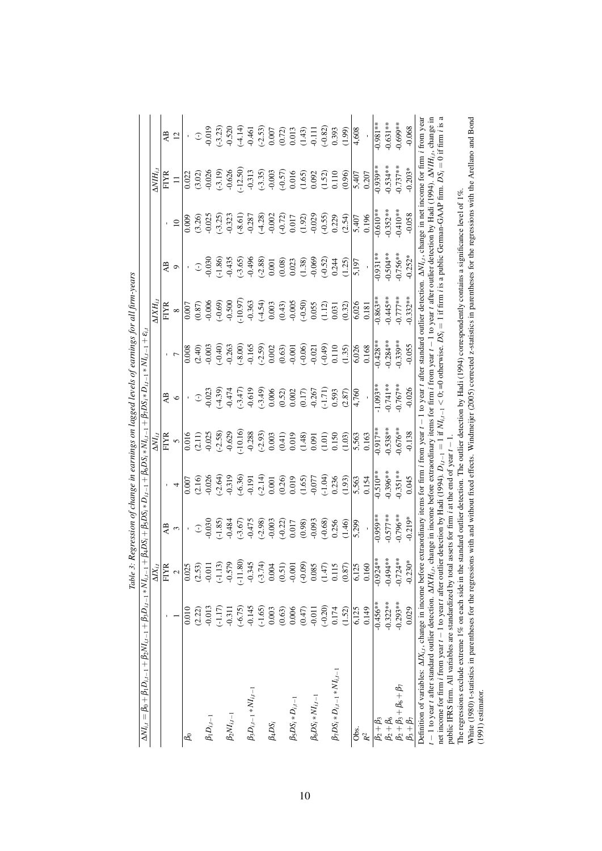| $\Delta NI_{i,t} = \beta_0 + \beta_1 D_{i,t-1} + \beta_2 NI_{i,t-1} + \beta_3 D_{i,t-1} * NI_{i,t-1}$                                                                                                                      |            |                    | $+\beta_4D S_i+\beta_5D S_i*D_{i,t-1}+\beta_6D S_i*NI_{i,t-1}+\beta_7D S_i*D_{i,t-1}*NI_{i,t-1}+\epsilon_{i,t-1}$    |                                                                   |                      |                                                                                                 |                                                          |                                                                                                             |                                                                    |                                                                    |                                                                                       |                                                                                                                                                                                                                                                                                                                                     |
|----------------------------------------------------------------------------------------------------------------------------------------------------------------------------------------------------------------------------|------------|--------------------|----------------------------------------------------------------------------------------------------------------------|-------------------------------------------------------------------|----------------------|-------------------------------------------------------------------------------------------------|----------------------------------------------------------|-------------------------------------------------------------------------------------------------------------|--------------------------------------------------------------------|--------------------------------------------------------------------|---------------------------------------------------------------------------------------|-------------------------------------------------------------------------------------------------------------------------------------------------------------------------------------------------------------------------------------------------------------------------------------------------------------------------------------|
|                                                                                                                                                                                                                            |            | $\Delta$ $X_{i.i}$ |                                                                                                                      |                                                                   | $\Delta NI_{i,t}$    |                                                                                                 |                                                          | $\Delta X H_i$                                                                                              |                                                                    |                                                                    | $\Delta V H_{iJ}$                                                                     |                                                                                                                                                                                                                                                                                                                                     |
|                                                                                                                                                                                                                            |            | FIYR               | A <sub>B</sub>                                                                                                       |                                                                   | <b>FIYR</b>          | AB                                                                                              |                                                          | <b>FIYR</b>                                                                                                 | AB                                                                 |                                                                    | <b>FIYR</b>                                                                           | A <sub>B</sub>                                                                                                                                                                                                                                                                                                                      |
|                                                                                                                                                                                                                            |            | $\sim$             | 3                                                                                                                    |                                                                   | $\overline{6}$       | $\circ$                                                                                         |                                                          | $\infty$                                                                                                    | $\circ$                                                            | $\Box$                                                             | $\equiv$                                                                              | $\overline{12}$                                                                                                                                                                                                                                                                                                                     |
| ಹಿ                                                                                                                                                                                                                         | 0.010      | 0.025              |                                                                                                                      | 0.007                                                             | 0.016                |                                                                                                 | 0.008                                                    | 0.007                                                                                                       |                                                                    | 0.009                                                              | 0.022                                                                                 |                                                                                                                                                                                                                                                                                                                                     |
|                                                                                                                                                                                                                            | (2.22)     | (2.53)             | $\mathbb{C}$                                                                                                         |                                                                   |                      | $\mathbb{C}$                                                                                    |                                                          |                                                                                                             | $\mathbb{C}$                                                       | $(3.26)$<br>$0.025$                                                | (3.02)                                                                                | $\widehat{\mathbb{C}}$                                                                                                                                                                                                                                                                                                              |
| $\beta_1 D_{i,t-1}$                                                                                                                                                                                                        | $-0.013$   | $-0.011$           | 0.030                                                                                                                | $(2.16)$<br>$0.026$                                               | $(2.11)$<br>$-0.025$ | 0.023                                                                                           | $(2.40)$<br>$0.003$                                      | $(0.87)$<br>$-0.006$                                                                                        | 0.030                                                              |                                                                    | $-0.026$                                                                              |                                                                                                                                                                                                                                                                                                                                     |
|                                                                                                                                                                                                                            | $(-1.17)$  | $(-1.13)$          | $(-1.85)$                                                                                                            | $(-2.64)$                                                         | $(-2.58)$            | (.4.39)                                                                                         | $(-0.40)$                                                | $(-0.69)$                                                                                                   | $(-1.86)$                                                          | $(-3.25)$                                                          | $(-3.19)$<br>$-0.626$                                                                 | $\begin{array}{l} 9.019 \\ -3.23 \\ -3.29 \\ -4.44 \\ -4.45 \\ -0.000 \\ -0.001 \\ -0.003 \\ -0.003 \\ -0.003 \\ -0.003 \\ -0.003 \\ -0.003 \\ -0.003 \\ -0.003 \\ -0.003 \\ -0.003 \\ -0.003 \\ -0.003 \\ -0.003 \\ -0.003 \\ -0.003 \\ -0.003 \\ -0.003 \\ -0.003 \\ -0.003 \\ -0.003 \\ -0.003 \\ -0.003 \\ -0.003 \\ -0.003 \\$ |
| $\beta_2 NI_{i,t-1}$                                                                                                                                                                                                       | $-0.311$   | $-0.579$           | $-0.484$                                                                                                             |                                                                   |                      | $-0.474$                                                                                        |                                                          | $-0.500$                                                                                                    | $-0.435$                                                           |                                                                    |                                                                                       |                                                                                                                                                                                                                                                                                                                                     |
|                                                                                                                                                                                                                            | $(-6.75)$  | $(-11.80)$         |                                                                                                                      |                                                                   | $(-10.16)$           |                                                                                                 | $(-8.00)$                                                | $(-10.97)$                                                                                                  | $(-3.65)$                                                          | $(-8.61)$<br>$-0.287$                                              | $(-12.50)$                                                                            |                                                                                                                                                                                                                                                                                                                                     |
| $\beta_3D_{i,t-1}*NI_{i,t-1}$                                                                                                                                                                                              | $-0.145$   | $-0.345$           |                                                                                                                      |                                                                   | $-0.288$             |                                                                                                 |                                                          |                                                                                                             |                                                                    |                                                                    |                                                                                       |                                                                                                                                                                                                                                                                                                                                     |
|                                                                                                                                                                                                                            | $(-1.65)$  | $(-3.74)$          | $(-3.67)$<br>$-0.475$<br>$(-2.98)$<br>$-0.003$                                                                       | $(-6.36)$<br>$-0.191$<br>$(-2.14)$<br>0.001                       | $(-2.93)$<br>0.003   | $\begin{array}{c} (-3.47) \\ -0.619 \\ -0.606 \\ 0.006 \\ 0.002 \\ 0.017 \\ -0.267 \end{array}$ | $-0.165$<br>$(-2.59)$<br>$0.002$<br>$(0.63)$<br>$-0.001$ | $-0.363$<br>$(-4.54)$<br>$0.003$                                                                            | $-0.496$<br>$(-2.88)$<br>0.001                                     | $(-4.28)$<br>$-0.002$                                              | $-0.313$<br>$(-3.35)$<br>$-0.003$<br>$(-0.57)$<br>$0.016$<br>$(1.65)$<br>$0.092$      |                                                                                                                                                                                                                                                                                                                                     |
| $\beta_4DS_i$                                                                                                                                                                                                              | 0.003      | 0.004              |                                                                                                                      |                                                                   |                      |                                                                                                 |                                                          |                                                                                                             |                                                                    |                                                                    |                                                                                       |                                                                                                                                                                                                                                                                                                                                     |
|                                                                                                                                                                                                                            | (0.63)     | (0.51)             | $(-0.22)$                                                                                                            |                                                                   | (0.41)               |                                                                                                 |                                                          | $(0.43)$<br>-0.005                                                                                          |                                                                    |                                                                    |                                                                                       |                                                                                                                                                                                                                                                                                                                                     |
| $\beta_5DS_i*D_{i,t-1}$                                                                                                                                                                                                    | 0.006      | $-0.001$           | 0.017                                                                                                                |                                                                   | 0.019                |                                                                                                 |                                                          |                                                                                                             |                                                                    |                                                                    |                                                                                       |                                                                                                                                                                                                                                                                                                                                     |
|                                                                                                                                                                                                                            | (0.47)     | $(-0.09)$          | (0.98)                                                                                                               | $\begin{array}{c} (0.26) \\ 0.019 \\ (1.65) \\ 0.077 \end{array}$ | (1.48)               |                                                                                                 | $(-0.06)$                                                | $(-0.50)$                                                                                                   | $\begin{array}{c} (0.08) \\ 0.023 \\ (1.38) \\ -0.069 \end{array}$ | $\begin{array}{c} (-0.72) \\ 0.017 \\ (1.92) \\ 0.029 \end{array}$ |                                                                                       |                                                                                                                                                                                                                                                                                                                                     |
| $\beta_6DS_i * NI_{i,t-1}$                                                                                                                                                                                                 | $-0.011$   | 0.085              |                                                                                                                      |                                                                   | 0.091                |                                                                                                 | $-0.021$                                                 | 0.055                                                                                                       |                                                                    |                                                                    |                                                                                       |                                                                                                                                                                                                                                                                                                                                     |
|                                                                                                                                                                                                                            | $(-0.20)$  | (1.47)             | $(-0.68)$                                                                                                            | (.1.04)                                                           | (1.01)               | $(1.71)$<br>0.593                                                                               | $(64.0-)$                                                | (1.12)                                                                                                      | $(-0.52)$                                                          | $(-0.55)$                                                          | (1.52)                                                                                |                                                                                                                                                                                                                                                                                                                                     |
| $\beta_7 DS_i * D_{i,t-1} * NI_{i,t-1}$                                                                                                                                                                                    | 0.174      | 0.115              | 0.256                                                                                                                | 0.236                                                             | 0.150                |                                                                                                 | 0.110                                                    | 0.031                                                                                                       | 0.244                                                              | 0.229                                                              | 0.110                                                                                 | 0.393                                                                                                                                                                                                                                                                                                                               |
|                                                                                                                                                                                                                            | (1.52)     | (0.87)             | (1.46)                                                                                                               | (1.93)                                                            | (1.03)               | (2.87)                                                                                          | (1.35)                                                   | (0.32)                                                                                                      | (1.25)                                                             | (2.54)                                                             | (0.96)                                                                                | (66.1)                                                                                                                                                                                                                                                                                                                              |
| Obs.                                                                                                                                                                                                                       | 6,125      | 6,125              | 5,299                                                                                                                | 5,563                                                             | 5,563                | 4,760                                                                                           | 6,026                                                    | 6,026                                                                                                       | 5,197                                                              | 5,407                                                              | 5,407                                                                                 | 4,608                                                                                                                                                                                                                                                                                                                               |
| $\mathcal{R}^2$                                                                                                                                                                                                            | 0.149      | 0.160              |                                                                                                                      | 0.154                                                             | 0.163                |                                                                                                 | 0.168                                                    | 0.181                                                                                                       |                                                                    | 0.196                                                              | 0.207                                                                                 |                                                                                                                                                                                                                                                                                                                                     |
| $\beta_2+\beta_3$                                                                                                                                                                                                          | $-0.456**$ | $-0.924*$          | $0.959**$                                                                                                            | $0.510**$                                                         | $0.917**$            | $1.093**$                                                                                       | $-0.428**$                                               | $0.863**$                                                                                                   | $0.931***$                                                         | $0.610**$                                                          | $0.939***$                                                                            | $0.981**$                                                                                                                                                                                                                                                                                                                           |
| $\beta_2+\beta_6$                                                                                                                                                                                                          | $-0.322**$ | $-0.494*$          | $0.577**$                                                                                                            | $0.396***$                                                        | $-0.538**$           | $0.741**$                                                                                       | $0.284**$                                                | $-0.445**$                                                                                                  | $0.504**$                                                          | $0.352***$                                                         | $0.534***$                                                                            | $0.631***$                                                                                                                                                                                                                                                                                                                          |
| $\beta_2 + \beta_3 + \beta_6 + \beta_7$                                                                                                                                                                                    | $-0.293**$ | $-0.724*$          | $-0.796**$                                                                                                           | $0.351***$                                                        | $-0.676**$           | $-0.767**$                                                                                      | $-0.339**$                                               | $-0.777**$                                                                                                  | $-0.756***$                                                        | $-0.410***$                                                        | $-0.737***$                                                                           | $-0.699**$                                                                                                                                                                                                                                                                                                                          |
| $\beta_3 + \beta_7$                                                                                                                                                                                                        | 0.029      | $-0.230$           | $-0.219*$                                                                                                            | 0.045                                                             | $-0.138$             | $-0.026$                                                                                        | $-0.055$                                                 | $0.332**$                                                                                                   | $-0.252*$                                                          | $-0.058$                                                           | $0.203*$                                                                              | $-0.068$                                                                                                                                                                                                                                                                                                                            |
| Definition of variables: $\Delta I X_{i,t}$ , change in income before                                                                                                                                                      |            |                    | extraordinary items for firm <i>i</i> from year t                                                                    |                                                                   | $\mid$               |                                                                                                 |                                                          | 1 to year t after standard outlier detection. $\Delta NI_{i,t}$ , change in net income for firm i from year |                                                                    |                                                                    |                                                                                       |                                                                                                                                                                                                                                                                                                                                     |
| $t-1$ to year t after standard outlier detection. $\Delta I X H_{i,t}$ ,                                                                                                                                                   |            |                    | change in income before extraordinary items for firm $i$ from year $t - 1$                                           |                                                                   |                      |                                                                                                 |                                                          | to year t after outlier detection by Hadi (1994). $\Delta NIH_{i,t}$ , change in                            |                                                                    |                                                                    |                                                                                       |                                                                                                                                                                                                                                                                                                                                     |
| public IFRS firm. All variables are standardized by total assets for firm i at the end of year t-<br>net income for firm <i>i</i> from year $t - 1$ to year $t$ after outli                                                |            |                    | er detection by Hadi (1994). $D_{i,t-1} = 1$ if $NI_{i,t-1} < 0$ ; =0 otherwise. $DS_i$                              |                                                                   |                      |                                                                                                 |                                                          |                                                                                                             |                                                                    |                                                                    | $= 1$ if firm <i>i</i> is a public German-GAAP firm. $DS_i = 0$ if firm <i>i</i> is a |                                                                                                                                                                                                                                                                                                                                     |
|                                                                                                                                                                                                                            |            |                    |                                                                                                                      |                                                                   |                      |                                                                                                 |                                                          |                                                                                                             |                                                                    |                                                                    |                                                                                       |                                                                                                                                                                                                                                                                                                                                     |
| The regressions exclude extreme $1\%$ on each side in the                                                                                                                                                                  |            |                    | standard outlier detection. The outlier detection by Hadi (1994) correspondently contains a significance level of 1% |                                                                   |                      |                                                                                                 |                                                          |                                                                                                             |                                                                    |                                                                    |                                                                                       |                                                                                                                                                                                                                                                                                                                                     |
| White (1980) t-statistics in parentheses for the regressions with and without fixed effects. Windmeijer (2005) corrected z-statistics in parentheses for the regressions with the Arellano and Bond<br>$(1991)$ estimator. |            |                    |                                                                                                                      |                                                                   |                      |                                                                                                 |                                                          |                                                                                                             |                                                                    |                                                                    |                                                                                       |                                                                                                                                                                                                                                                                                                                                     |

Table 3: Regression of change in earnings on lagged levels of earnings for all firm-years Table 3: Regression of change in earnings on lagged levels of earnings for all firm-years

10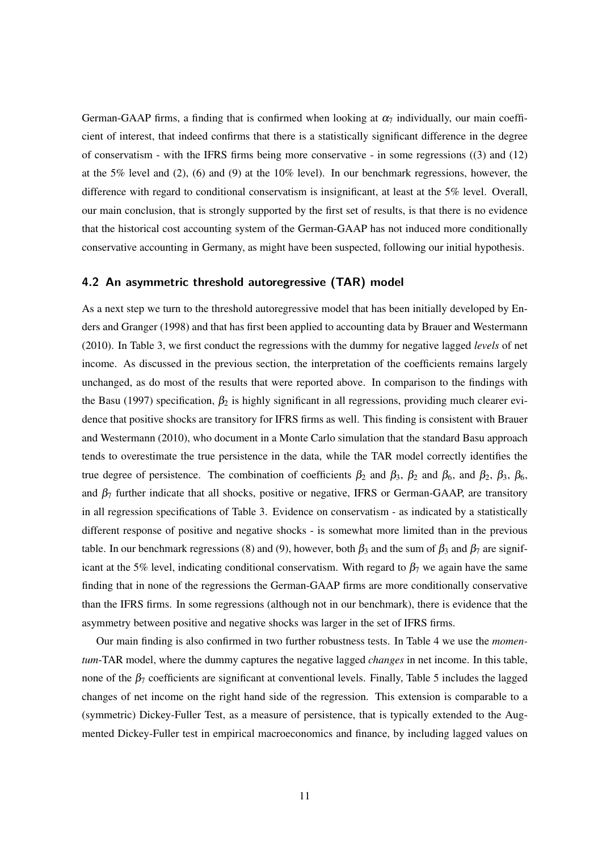German-GAAP firms, a finding that is confirmed when looking at  $\alpha_7$  individually, our main coefficient of interest, that indeed confirms that there is a statistically significant difference in the degree of conservatism - with the IFRS firms being more conservative - in some regressions ((3) and (12) at the 5% level and (2), (6) and (9) at the  $10\%$  level). In our benchmark regressions, however, the difference with regard to conditional conservatism is insignificant, at least at the 5% level. Overall, our main conclusion, that is strongly supported by the first set of results, is that there is no evidence that the historical cost accounting system of the German-GAAP has not induced more conditionally conservative accounting in Germany, as might have been suspected, following our initial hypothesis.

## **4.2 An asymmetric threshold autoregressive (TAR) model**

As a next step we turn to the threshold autoregressive model that has been initially developed by Enders and Granger (1998) and that has first been applied to accounting data by Brauer and Westermann (2010). In Table 3, we first conduct the regressions with the dummy for negative lagged *levels* of net income. As discussed in the previous section, the interpretation of the coefficients remains largely unchanged, as do most of the results that were reported above. In comparison to the findings with the Basu (1997) specification,  $\beta_2$  is highly significant in all regressions, providing much clearer evidence that positive shocks are transitory for IFRS firms as well. This finding is consistent with Brauer and Westermann (2010), who document in a Monte Carlo simulation that the standard Basu approach tends to overestimate the true persistence in the data, while the TAR model correctly identifies the true degree of persistence. The combination of coefficients  $\beta_2$  and  $\beta_3$ ,  $\beta_2$  and  $\beta_6$ , and  $\beta_2$ ,  $\beta_3$ ,  $\beta_6$ , and  $\beta_7$  further indicate that all shocks, positive or negative, IFRS or German-GAAP, are transitory in all regression specifications of Table 3. Evidence on conservatism - as indicated by a statistically different response of positive and negative shocks - is somewhat more limited than in the previous table. In our benchmark regressions (8) and (9), however, both  $\beta_3$  and the sum of  $\beta_3$  and  $\beta_7$  are significant at the 5% level, indicating conditional conservatism. With regard to  $\beta_7$  we again have the same finding that in none of the regressions the German-GAAP firms are more conditionally conservative than the IFRS firms. In some regressions (although not in our benchmark), there is evidence that the asymmetry between positive and negative shocks was larger in the set of IFRS firms.

Our main finding is also confirmed in two further robustness tests. In Table 4 we use the *momentum*-TAR model, where the dummy captures the negative lagged *changes* in net income. In this table, none of the  $\beta_7$  coefficients are significant at conventional levels. Finally, Table 5 includes the lagged changes of net income on the right hand side of the regression. This extension is comparable to a (symmetric) Dickey-Fuller Test, as a measure of persistence, that is typically extended to the Augmented Dickey-Fuller test in empirical macroeconomics and finance, by including lagged values on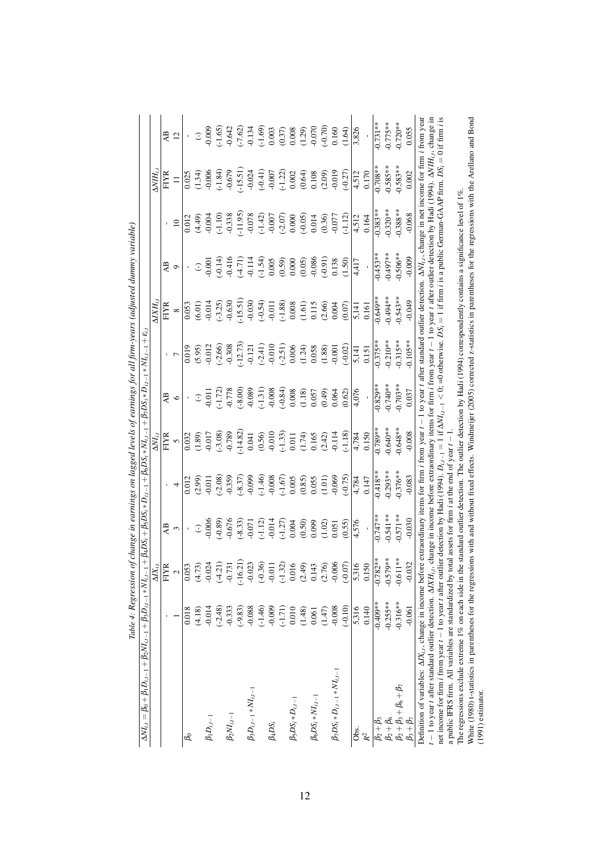| $\Delta N l_{i,t} = \beta_0 + \beta_1 D_{i,t-1} + \beta_2 N l_{i,t-1} + \beta_3 D_{i,t-1} * N l_{i,t-1}$                                                                                                                                                                                  | There $\pm$ 100 control of |                    | $+\beta_4D S_i+\beta_5D S_i*D_{i,t-1}+\beta_6D S_i*NI_{i,t-1}+\beta_7DS_i*D_{i,t-1}*NI_{i,t-1}+\varepsilon_i$<br>rina ili e ni en |                    |                                   |                                                                                                                                              |                                                                                           | reans laufmorea                                                       |                                   |                                                                                  |                                                                        |                                                                                                          |
|-------------------------------------------------------------------------------------------------------------------------------------------------------------------------------------------------------------------------------------------------------------------------------------------|----------------------------|--------------------|-----------------------------------------------------------------------------------------------------------------------------------|--------------------|-----------------------------------|----------------------------------------------------------------------------------------------------------------------------------------------|-------------------------------------------------------------------------------------------|-----------------------------------------------------------------------|-----------------------------------|----------------------------------------------------------------------------------|------------------------------------------------------------------------|----------------------------------------------------------------------------------------------------------|
|                                                                                                                                                                                                                                                                                           |                            | $\Delta$ $X_{i,j}$ |                                                                                                                                   |                    | $\Delta NI_{i.i}$                 |                                                                                                                                              |                                                                                           | $\Delta X H_{iJ}$                                                     |                                   |                                                                                  | $\Delta V H_{i,t}$                                                     |                                                                                                          |
|                                                                                                                                                                                                                                                                                           |                            | <b>FIYR</b>        | A <sub>B</sub>                                                                                                                    |                    | FIYR                              | AB                                                                                                                                           |                                                                                           | FIYR                                                                  | AB                                |                                                                                  | <b>FIYR</b>                                                            | AB                                                                                                       |
|                                                                                                                                                                                                                                                                                           |                            | $\sim$             | 3                                                                                                                                 |                    | $\overline{C}$                    | $\circ$                                                                                                                                      |                                                                                           | $\infty$                                                              | $\circ$                           | $\overline{10}$                                                                  | $\equiv$                                                               | 12                                                                                                       |
| ಹಿ                                                                                                                                                                                                                                                                                        | 0.018                      | 0.053              |                                                                                                                                   | 0.012              | 0.032                             |                                                                                                                                              | 0.019                                                                                     | 0.053                                                                 |                                   | 0.012                                                                            | $\frac{0.025}{5}$                                                      |                                                                                                          |
|                                                                                                                                                                                                                                                                                           | (4.18)                     | (4.73)             | $\widehat{\cdot}$                                                                                                                 | (2.99)             |                                   | $\mathbb{C}$                                                                                                                                 |                                                                                           | (6.01)                                                                | $\mathbb{C}$                      |                                                                                  |                                                                        | $\bigcirc$                                                                                               |
| $\beta_1 D_{i,t-1}$                                                                                                                                                                                                                                                                       | $-0.014$                   | $-0.024$           | 0.006                                                                                                                             | $-0.011$           | $(1.89)$<br>$-0.017$              | 0.011                                                                                                                                        | $(5.95)$<br>$-0.012$                                                                      |                                                                       | 0.001                             | (4.49)                                                                           | (1.34)                                                                 | $-0.009$                                                                                                 |
|                                                                                                                                                                                                                                                                                           | $(-2.48)$                  | $(-4.21)$          | $(-0.89)$                                                                                                                         | $(-2.08)$          |                                   | $-1.72$                                                                                                                                      | $(-2.66)$                                                                                 |                                                                       | $(-0.14)$                         |                                                                                  |                                                                        | $(-1.65)$                                                                                                |
| $\beta_2 NI_{i,t-1}$                                                                                                                                                                                                                                                                      | $-0.333$                   | $-0.731$           | $-0.676$                                                                                                                          | 0.359              | $(-3.08)$<br>$-0.789$<br>$-14.82$ | $-0.778$<br>$(00.8 -)$                                                                                                                       | 0.308                                                                                     | $\begin{array}{c} (-3.25) \\ -0.630 \\ -15.51) \\ -0.030 \end{array}$ |                                   | $(-1.10)$<br>$-0.338$<br>$-0.078$<br>$-0.078$<br>$-1.42$<br>$-0.007$<br>$-0.007$ | $\begin{array}{c} (-1.84) \\ -0.679 \\ (-15.51) \\ -0.024 \end{array}$ | $-0.642$<br>$-7.62$ )<br>$-0.134$<br>$-1.69$ )<br>$-1.69$<br>$-0.37$<br>$-0.003$<br>$-0.070$<br>$-0.070$ |
|                                                                                                                                                                                                                                                                                           | $(-9.83)$                  | $(-16.21)$         |                                                                                                                                   | $(-8.37)$          |                                   |                                                                                                                                              |                                                                                           |                                                                       | $-0.416$<br>$(-4.71)$<br>$-0.114$ |                                                                                  |                                                                        |                                                                                                          |
| $\beta_3D_{i,t-1}*NI_{i,t-1}$                                                                                                                                                                                                                                                             | $-0.088$                   | $-0.023$           | $(-8.33)$<br>$-0.071$                                                                                                             |                    | 0.041                             |                                                                                                                                              |                                                                                           |                                                                       |                                   |                                                                                  |                                                                        |                                                                                                          |
|                                                                                                                                                                                                                                                                                           | $(-1.46)$                  | $(-0.36)$          | $\frac{(-1.12)}{-0.014}$                                                                                                          | (0.1.46)           | (0.56)                            |                                                                                                                                              |                                                                                           | $(-0.54)$                                                             |                                   |                                                                                  | $(-0.41)$<br>$-0.007$                                                  |                                                                                                          |
| $\beta_4DS_i$                                                                                                                                                                                                                                                                             | $-0.009$                   | $-0.011$           |                                                                                                                                   |                    |                                   |                                                                                                                                              |                                                                                           |                                                                       | $(1.54)$<br>0.005                 |                                                                                  |                                                                        |                                                                                                          |
|                                                                                                                                                                                                                                                                                           | $(-1.71)$                  | $(-1.32)$          | $(1.27)$<br>0.004                                                                                                                 | $(-1.67)$<br>0.005 | $-0.010$<br>$(-1.33)$<br>0.011    | $\begin{array}{l} \textbf{(-1.31)} \\ \textbf{-0.008} \\ \textbf{-0.043} \\ \textbf{-0.008} \\ \textbf{0.008} \\ \textbf{1.18)} \end{array}$ | $\begin{array}{c} -12.73) \\ -0.121 \\ (-2.41) \\ -0.010 \\ (-2.51) \\ 0.006 \end{array}$ | $\begin{array}{c} (-1.88) \\ 0.008 \\ (1.61) \end{array}$             | $(0.59)$<br>0.000                 |                                                                                  | $\begin{array}{c} (-1.22) \\ 0.002 \\ 0.64) \end{array}$               |                                                                                                          |
| $\beta_5DS_i*D_{i,t-1}$                                                                                                                                                                                                                                                                   | 0.010                      | 0.016              |                                                                                                                                   |                    |                                   |                                                                                                                                              |                                                                                           |                                                                       |                                   |                                                                                  |                                                                        |                                                                                                          |
|                                                                                                                                                                                                                                                                                           | (1.48)                     | (2.49)             | (0.50)                                                                                                                            | (0.85)             | (1.74)                            |                                                                                                                                              | (1.24)                                                                                    |                                                                       | (0.05)                            | $(-0.05)$                                                                        |                                                                        |                                                                                                          |
| $\beta_6DS_i * NI_{i,t-1}$                                                                                                                                                                                                                                                                | 0.061                      | 0.143              | 0.099                                                                                                                             | 0.055              | 0.165                             | $0.057$<br>$(0.49)$<br>$0.064$                                                                                                               | 0.058                                                                                     | 0.115                                                                 | 0.086                             | 0.014                                                                            | $\begin{array}{c} 0.108 \\ (2.09) \\ -0.019 \end{array}$               |                                                                                                          |
|                                                                                                                                                                                                                                                                                           | (1.47)                     | (2.76)             | (1.02)                                                                                                                            | (1.01)             | (2.42)                            |                                                                                                                                              | (1.88)                                                                                    | (2.66)                                                                | $(16.0 - 0.0)$                    | (0.36)                                                                           |                                                                        |                                                                                                          |
| $\beta_7DS_i*D_{i,t-1}*NI_{i,t-1}$                                                                                                                                                                                                                                                        | $-0.008$                   | $-0.006$           | 0.051                                                                                                                             | 0.069              | $-0.114$                          |                                                                                                                                              |                                                                                           | 0.004                                                                 |                                   | $-0.077$                                                                         |                                                                        |                                                                                                          |
|                                                                                                                                                                                                                                                                                           | $(-0.10)$                  | $-0.07$            | (0.55)                                                                                                                            | $(-0.75)$          | $(-1.18)$                         | (0.62)                                                                                                                                       | $(-0.02)$                                                                                 | (0.07)                                                                | (1.50)                            | $(-1.12)$                                                                        | $(-0.27)$                                                              | (1.64)                                                                                                   |
| Obs.                                                                                                                                                                                                                                                                                      | 5,316                      | 5,316              | 4,576                                                                                                                             | 4,784              | 4,784                             | 4,076                                                                                                                                        | 5,141                                                                                     | 5,141                                                                 | 4,417                             | 4,512                                                                            | 4,512                                                                  | 3,826                                                                                                    |
| $\mathbb{R}^2$                                                                                                                                                                                                                                                                            | 0.140                      | 0.150              |                                                                                                                                   | 0.147              | 0.150                             |                                                                                                                                              | 0.151                                                                                     | 0.161                                                                 |                                   | 0.164                                                                            | 0.170                                                                  |                                                                                                          |
| $\beta_2 + \beta_3$                                                                                                                                                                                                                                                                       | $-0.409**$                 | $-0.782**$         | $0.747**$                                                                                                                         | $-0.418**$         | $-0.789**$                        | $0.829**$                                                                                                                                    | $-0.375**$                                                                                | $-0.649**$                                                            | $-0.453**$                        | $0.383**$                                                                        | $-0.708**$                                                             | $0.731***$                                                                                               |
| $\beta_2+\beta_6$                                                                                                                                                                                                                                                                         | $-0.255***$                | $-0.579**$         | $0.541**$                                                                                                                         | $-0.293**$         | $-0.640**$                        | $0.740**$                                                                                                                                    | $-0.210**$                                                                                | $-0.494**$                                                            | $-0.497***$                       | $0.320***$                                                                       | $0.585**$                                                              | $-0.775**$                                                                                               |
| $\beta_2 + \beta_3 + \beta_6 + \beta_7$                                                                                                                                                                                                                                                   | $-0.316**$                 | $-0.611**$         | $-0.571**$                                                                                                                        | $-0.376**$         | $-0.648**$                        | $0.703**$                                                                                                                                    | $-0.315**$                                                                                | $0.543**$                                                             | $-0.506**$                        | $0.388***$                                                                       | $0.583**$                                                              | $0.720**$                                                                                                |
| $\beta_3+\beta_7$                                                                                                                                                                                                                                                                         | $-0.061$                   | $-0.032$           | $-0.030$                                                                                                                          | $-0.083$           | $-0.008$                          | 0.037                                                                                                                                        | $0.105**$                                                                                 | $-0.049$                                                              | $-0.009$                          | $-0.068$                                                                         | 0.002                                                                  | 0.055                                                                                                    |
| Definition of variables: $\Delta X_{i,j}$ , change in income before extraordinary items for firm <i>i</i> from year $t-1$ to year t after standard outlier detection. $\Delta NI_{i,t}$ , change in net income for firm <i>i</i> from year                                                |                            |                    |                                                                                                                                   |                    |                                   |                                                                                                                                              |                                                                                           |                                                                       |                                   |                                                                                  |                                                                        |                                                                                                          |
| $t-1$ to year t after standard outlier detection. $\Delta XH_{t,t}$ , change in income before extraordinary items for firm i from year t = 1 to year t after outlier detection by Hadi (1994). $\Delta NHI_{t,t}$ , change in                                                             |                            |                    |                                                                                                                                   |                    |                                   |                                                                                                                                              |                                                                                           |                                                                       |                                   |                                                                                  |                                                                        |                                                                                                          |
| net income for firm i from year $t-1$ to year t after outlier detection by Hadi (1994), $D_{i,i-1} = 1$ if $\Delta NI_{i,i-1} < 0$ ; detectivise. $DS_i = 1$ if firm i is a public German-GAAP firm. $DS_i = 0$ if firm i is<br>a public IFRS firm. All variables are standardized by tot |                            |                    | al assets for firm $i$ at the end of year $t - 1$                                                                                 |                    |                                   |                                                                                                                                              |                                                                                           |                                                                       |                                   |                                                                                  |                                                                        |                                                                                                          |
| The regressions exclude extreme $1\%$ on each side in the                                                                                                                                                                                                                                 |                            |                    | standard outlier detection. The outlier detection by Hadi (1994) correspondently contains a significance level of 1%.             |                    |                                   |                                                                                                                                              |                                                                                           |                                                                       |                                   |                                                                                  |                                                                        |                                                                                                          |
| White (1980) t-statistics in parentheses for the regressions with and without fixed effects. Windmeijer (2005) corrected z-statistics in parentheses for the regressions with the Arellano and Bond                                                                                       |                            |                    |                                                                                                                                   |                    |                                   |                                                                                                                                              |                                                                                           |                                                                       |                                   |                                                                                  |                                                                        |                                                                                                          |
| $(1991)$ estimator.                                                                                                                                                                                                                                                                       |                            |                    |                                                                                                                                   |                    |                                   |                                                                                                                                              |                                                                                           |                                                                       |                                   |                                                                                  |                                                                        |                                                                                                          |

Table 4: Regression of change in earnings on lagged levels of earnings for all firm-years (adjusted dummy variable) Table 4: Regression of change in earnings on lagged levels of earnings for all firm-years (adjusted dummy variable)

12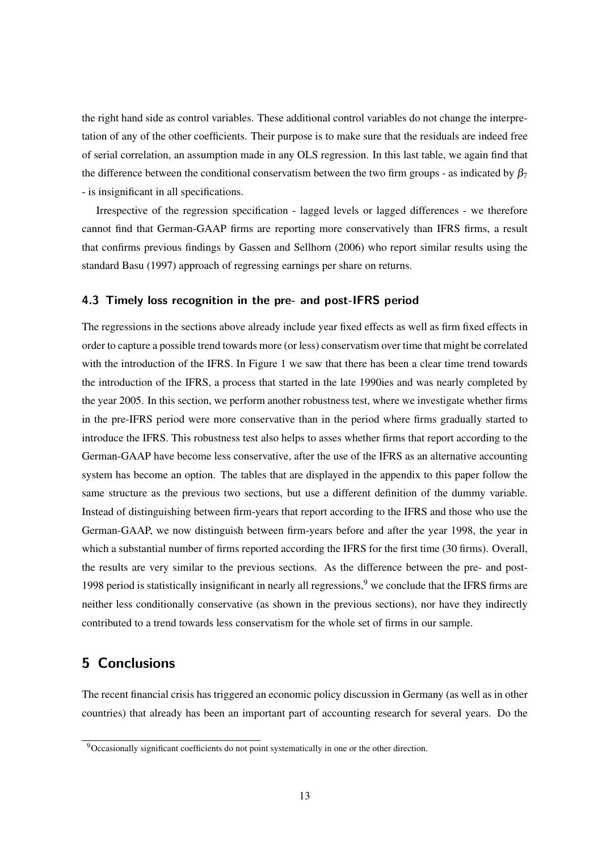the right hand side as control variables. These additional control variables do not change the interpretation of any of the other coefficients. Their purpose is to make sure that the residuals are indeed free of serial correlation, an assumption made in any OLS regression. In this last table, we again find that the difference between the conditional conservatism between the two firm groups - as indicated by  $\beta_7$ - is insignificant in all specifications.

Irrespective of the regression specification - lagged levels or lagged differences - we therefore cannot find that German-GAAP firms are reporting more conservatively than IFRS firms, a result that confirms previous findings by Gassen and Sellhorn (2006) who report similar results using the standard Basu (1997) approach of regressing earnings per share on returns.

#### **4.3 Timely loss recognition in the pre- and post-IFRS period**

The regressions in the sections above already include year fixed effects as well as firm fixed effects in order to capture a possible trend towards more (or less) conservatism over time that might be correlated with the introduction of the IFRS. In Figure 1 we saw that there has been a clear time trend towards the introduction of the IFRS, a process that started in the late 1990ies and was nearly completed by the year 2005. In this section, we perform another robustness test, where we investigate whether firms in the pre-IFRS period were more conservative than in the period where firms gradually started to introduce the IFRS. This robustness test also helps to asses whether firms that report according to the German-GAAP have become less conservative, after the use of the IFRS as an alternative accounting system has become an option. The tables that are displayed in the appendix to this paper follow the same structure as the previous two sections, but use a different definition of the dummy variable. Instead of distinguishing between firm-years that report according to the IFRS and those who use the German-GAAP, we now distinguish between firm-years before and after the year 1998, the year in which a substantial number of firms reported according the IFRS for the first time (30 firms). Overall, the results are very similar to the previous sections. As the difference between the pre- and post-1998 period is statistically insignificant in nearly all regressions,  $9$  we conclude that the IFRS firms are neither less conditionally conservative (as shown in the previous sections), nor have they indirectly contributed to a trend towards less conservatism for the whole set of firms in our sample.

# **5 Conclusions**

The recent financial crisis has triggered an economic policy discussion in Germany (as well as in other countries) that already has been an important part of accounting research for several years. Do the

<sup>&</sup>lt;sup>9</sup>Occasionally significant coefficients do not point systematically in one or the other direction.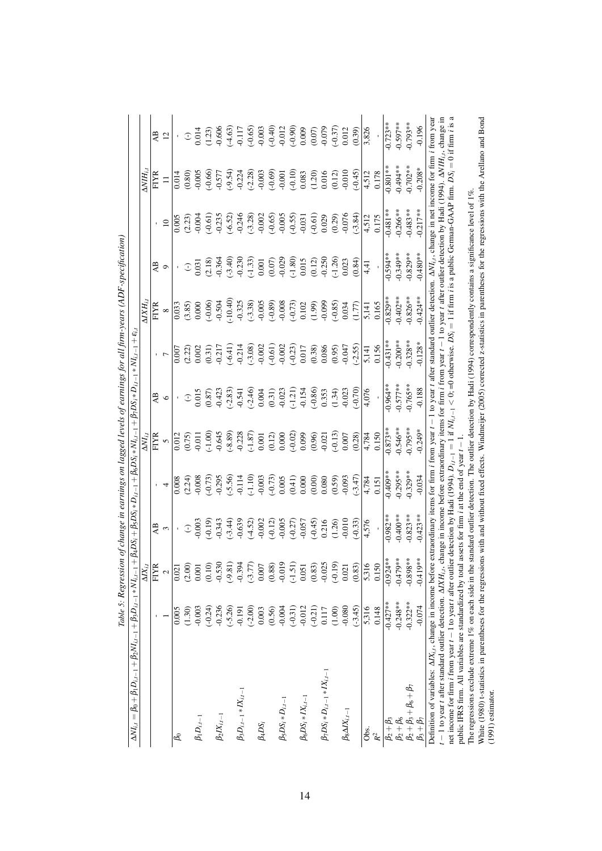|                                                                                                                                                                                                                                                                                                                             |            | lable 5: Regression of change in earnings on lagged levels of earnings for all firm-years (ADF-specification) |                                                |                                               |                                   |                                                                                                        |                                                                                                                                     |                                      |                                                                                                                                                                      |                                                                         |                                                                                                  |                                                                                                                                                                                    |
|-----------------------------------------------------------------------------------------------------------------------------------------------------------------------------------------------------------------------------------------------------------------------------------------------------------------------------|------------|---------------------------------------------------------------------------------------------------------------|------------------------------------------------|-----------------------------------------------|-----------------------------------|--------------------------------------------------------------------------------------------------------|-------------------------------------------------------------------------------------------------------------------------------------|--------------------------------------|----------------------------------------------------------------------------------------------------------------------------------------------------------------------|-------------------------------------------------------------------------|--------------------------------------------------------------------------------------------------|------------------------------------------------------------------------------------------------------------------------------------------------------------------------------------|
| $\Delta NI_{i,t} = \beta_0 + \beta_1 D_{i,t-1} + \beta_2 NI_{i,t-1} + \beta_3 D_{i,t-1} * NI_{i,t-1}$                                                                                                                                                                                                                       |            |                                                                                                               |                                                |                                               |                                   |                                                                                                        | $+ \beta_4 D S_i + \beta_5 D S_i * D_{i,t-1} + \beta_6 D S_i * N I_{i,t-1} + \beta_7 D S_i * D_{i,t-1} * N I_{i,t-1} + \epsilon_i,$ |                                      |                                                                                                                                                                      |                                                                         |                                                                                                  |                                                                                                                                                                                    |
|                                                                                                                                                                                                                                                                                                                             |            | $\Delta$ $X_{i.t}$                                                                                            |                                                |                                               | $\Delta NI_{i,t}$                 |                                                                                                        |                                                                                                                                     | $\Delta X H_{iJ}$                    |                                                                                                                                                                      |                                                                         | $\Delta V H_{iJ}$                                                                                |                                                                                                                                                                                    |
|                                                                                                                                                                                                                                                                                                                             |            | <b>FIYR</b>                                                                                                   | A <sub>B</sub>                                 |                                               | <b>FIYR</b>                       | Æ                                                                                                      |                                                                                                                                     | <b>FIYR</b>                          | AB                                                                                                                                                                   |                                                                         | <b>FIYR</b>                                                                                      | A <sub>B</sub>                                                                                                                                                                     |
|                                                                                                                                                                                                                                                                                                                             |            | $\mathbf{c}$                                                                                                  | $\sim$                                         | 4                                             | $\mathbf{v}$                      | $\circ$                                                                                                |                                                                                                                                     | $\infty$                             | $\circ$                                                                                                                                                              | $\overline{10}$                                                         |                                                                                                  | 12                                                                                                                                                                                 |
| L                                                                                                                                                                                                                                                                                                                           | 0.005      | 0.021                                                                                                         |                                                | 0.008                                         | 0.012                             |                                                                                                        | 0.007                                                                                                                               | 0.033                                |                                                                                                                                                                      | 0.005                                                                   | 0.014                                                                                            |                                                                                                                                                                                    |
|                                                                                                                                                                                                                                                                                                                             | (1.30)     | (2.00)                                                                                                        | $\widehat{\cdot}$                              | $(2.24)$<br>$0.008$                           |                                   | $\widehat{\cdot}$                                                                                      |                                                                                                                                     | $(3.85)$<br>0.000                    | $\mathbb{C}$                                                                                                                                                         |                                                                         |                                                                                                  | $\bigcirc$                                                                                                                                                                         |
| $\beta_1 D_{i,t-1}$                                                                                                                                                                                                                                                                                                         | $-0.003$   | 0.001                                                                                                         | $-0.003$                                       |                                               | $(0.75)$<br>$-0.011$              | 0.015                                                                                                  |                                                                                                                                     |                                      | 0.031                                                                                                                                                                | (2.23)                                                                  | (0.80)                                                                                           | 0.014                                                                                                                                                                              |
|                                                                                                                                                                                                                                                                                                                             | $(-0.24)$  | (0.10)                                                                                                        | $(-0.19)$                                      | $(-0.73)$                                     | $(-1.00)$                         |                                                                                                        | $\begin{array}{c} (2.22) \\ 0.002 \\ 0.31) \\ 0.217 \end{array}$                                                                    |                                      |                                                                                                                                                                      | $(-0.61)$                                                               | $(-0.66)$<br>$-0.577$<br>$(-9.54)$<br>$-0.224$<br>$-0.238$<br>$-0.003$<br>$-0.69$                |                                                                                                                                                                                    |
| $\beta_2 I X_{i.t-1}$                                                                                                                                                                                                                                                                                                       | $-0.236$   | $-0.530$                                                                                                      | $-0.343$                                       | 0.295                                         |                                   |                                                                                                        |                                                                                                                                     | $-0.504$                             | $(2.18)$<br>$0.364$                                                                                                                                                  |                                                                         |                                                                                                  |                                                                                                                                                                                    |
|                                                                                                                                                                                                                                                                                                                             | $(-5.26)$  | $(-9.81)$                                                                                                     |                                                | $(-5.56)$<br>-0.114                           | $-0.645$<br>$(-8.89)$<br>$-0.228$ | $\begin{array}{l} (0.87) \\ 0.423 \\ -0.541 \\ -0.541 \\ 0.004 \\ 0.31) \\ 0.003 \\ -0.23 \end{array}$ | $(-6.41)$<br>$-0.214$<br>$(-3.08)$<br>$(-0.002)$<br>$(-0.61)$                                                                       | $-10.40$<br>$-0.325$                 |                                                                                                                                                                      | $-0.235$<br>$(-6.52)$<br>$-0.246$<br>$(-3.28)$<br>$-0.002$<br>$(-0.65)$ |                                                                                                  | $\begin{array}{l} (1.23)\\ -9.666\\ -1.11\\ -1.11\\ -1.11\\ -1.066\\ -1.065\\ -1.03\\ -1.03\\ -1.01\\ -1.00\\ -1.01\\ -1.00\\ -1.00\\ -1.00\\ -1.01\\ -1.01\\ 0.01\\ 2\end{array}$ |
| $\beta_3 D_{i,t-1} * I X_{i,t-1}$                                                                                                                                                                                                                                                                                           | $-0.191$   | $-0.394$                                                                                                      | $-0.639$                                       |                                               |                                   |                                                                                                        |                                                                                                                                     |                                      | $(-3.40)$<br>-0.230                                                                                                                                                  |                                                                         |                                                                                                  |                                                                                                                                                                                    |
|                                                                                                                                                                                                                                                                                                                             | $(-2.00)$  | $(-3.77)$                                                                                                     | $(-4.52)$<br>0.002                             |                                               | $\frac{(-1.87)}{0.001}$           |                                                                                                        |                                                                                                                                     |                                      |                                                                                                                                                                      |                                                                         |                                                                                                  |                                                                                                                                                                                    |
| $\beta_4DS_i$                                                                                                                                                                                                                                                                                                               | $0.003$    | 0.007                                                                                                         |                                                |                                               |                                   |                                                                                                        |                                                                                                                                     | $(-3.38)$<br>-0.005                  |                                                                                                                                                                      |                                                                         |                                                                                                  |                                                                                                                                                                                    |
|                                                                                                                                                                                                                                                                                                                             | (0.56)     | (0.88)                                                                                                        |                                                | $(-1.10)$<br>$-0.003$<br>$(-0.73)$<br>$0.005$ | (0.12)                            |                                                                                                        |                                                                                                                                     | $(-0.89)$                            |                                                                                                                                                                      |                                                                         |                                                                                                  |                                                                                                                                                                                    |
| $\beta_5DS_i*D_{i,t-1}$                                                                                                                                                                                                                                                                                                     | $-0.004$   | $-0.019$                                                                                                      | $(-0.12)$                                      |                                               | 0.000                             |                                                                                                        |                                                                                                                                     |                                      | $\begin{array}{c} (-1.33) \\ 0.001 \\ 0.07 \\ 0.029 \end{array}$                                                                                                     | $-0.005$                                                                |                                                                                                  |                                                                                                                                                                                    |
|                                                                                                                                                                                                                                                                                                                             | $(-0.31)$  | $(-1.51)$                                                                                                     |                                                |                                               | $(-0.02)$                         |                                                                                                        |                                                                                                                                     |                                      |                                                                                                                                                                      |                                                                         |                                                                                                  |                                                                                                                                                                                    |
| $\beta_6DS_i * IX_{i.t-1}$                                                                                                                                                                                                                                                                                                  | $-0.012$   | 0.051                                                                                                         | $(-0.27)$<br>$-0.057$<br>$(-0.45)$<br>$-0.216$ | $(0.41)$<br>0.000                             | 0.099                             | $\begin{array}{c} (-1.21) \\ -0.154 \\ -0.86 \end{array}$<br>$(1.34)$<br>$(1.34)$<br>$(1.34)$          | $\begin{array}{c} -0.23 \\ 0.017 \\ 0.38 \\ 0.086 \end{array}$                                                                      | $(-0.73)$<br>0.102<br>0.99)<br>0.099 | $\begin{array}{c} (-1.80) \\ 0.015 \\ (0.12) \\ -0.250 \\ (-1.26) \\ 0.023 \end{array}$                                                                              | $(-0.55)$<br>$-0.031$                                                   | $\begin{array}{c} (-0.10) \\ 0.083 \\ (1.20) \\ 0.016 \\ (0.12) \\ (0.12) \\ -0.010 \end{array}$ |                                                                                                                                                                                    |
|                                                                                                                                                                                                                                                                                                                             | $(-0.21)$  | (0.83)                                                                                                        |                                                | (0.00)                                        | $(0.96)$<br>$-0.021$              |                                                                                                        |                                                                                                                                     |                                      |                                                                                                                                                                      | $(-0.61)$                                                               |                                                                                                  |                                                                                                                                                                                    |
| $\beta_7DS_i*D_{i.t-1}*IX_{i.t-1}$                                                                                                                                                                                                                                                                                          | 0.117      | $-0.025$                                                                                                      |                                                |                                               |                                   |                                                                                                        |                                                                                                                                     |                                      |                                                                                                                                                                      | 0.029                                                                   |                                                                                                  |                                                                                                                                                                                    |
|                                                                                                                                                                                                                                                                                                                             | (1.00)     | $(-0.19)$                                                                                                     | (1.26)                                         | (0.59)                                        | $(-0.13)$                         |                                                                                                        | (0.95)                                                                                                                              |                                      |                                                                                                                                                                      | $(0.29)$<br>$-0.076$                                                    |                                                                                                  |                                                                                                                                                                                    |
| $\beta_8\Delta I X_{i.t-1}$                                                                                                                                                                                                                                                                                                 | $-0.080$   | 0.021                                                                                                         |                                                |                                               | 0.007                             |                                                                                                        | $-0.047$                                                                                                                            | $(-0.85)$<br>0.034                   |                                                                                                                                                                      |                                                                         |                                                                                                  |                                                                                                                                                                                    |
|                                                                                                                                                                                                                                                                                                                             | $(-3.45)$  | (0.83)                                                                                                        | $(-0.33)$                                      | $(-3.47)$                                     | (0.28)                            | (0.70)                                                                                                 | $(-2.55)$                                                                                                                           | (1.77)                               | (0.84)                                                                                                                                                               | $(-3.84)$                                                               | $(-0.45)$                                                                                        | (0.39)                                                                                                                                                                             |
| Obs.                                                                                                                                                                                                                                                                                                                        | 5,316      | 5,316                                                                                                         | 4,576                                          | 4,784                                         | 4,784                             | 4,076                                                                                                  | 5,141                                                                                                                               | 5,141                                | $\frac{4}{4}$                                                                                                                                                        | 4,512                                                                   | 4,512                                                                                            | 3,826                                                                                                                                                                              |
| $\mathbb{R}^2$                                                                                                                                                                                                                                                                                                              | 0.148      | 0.150                                                                                                         |                                                | 0.151                                         | 0.150                             |                                                                                                        | 0.156                                                                                                                               | 0.165                                |                                                                                                                                                                      | 0.175                                                                   | 0.178                                                                                            |                                                                                                                                                                                    |
| $\beta_2 + \beta_3$                                                                                                                                                                                                                                                                                                         | $-0.427**$ | $-0.924**$                                                                                                    | $0.982**$                                      | $-0.409**$                                    | $0.873**$                         | $0.964**$                                                                                              | $0.431**$                                                                                                                           | $-0.829**$                           | $0.594***$                                                                                                                                                           | $0.481***$                                                              | $0.801**$                                                                                        | $-0.723**$                                                                                                                                                                         |
| $\beta_2+\beta_6$                                                                                                                                                                                                                                                                                                           | $-0.248**$ | $-0.479*$                                                                                                     | $0.400**$                                      | $0.295***$                                    | $0.546**$                         | $0.577***$                                                                                             | $0.200**$                                                                                                                           | $0.402**$                            | $0.349***$                                                                                                                                                           | $0.266***$                                                              | $0.494**$                                                                                        | $0.597***$                                                                                                                                                                         |
| $\beta_2 + \beta_3 + \beta_6 + \beta_7$                                                                                                                                                                                                                                                                                     | $-0.322**$ | $-0.898*$                                                                                                     | $0.823**$                                      | $0.329**$                                     | $0.795***$                        | $0.765**$                                                                                              | $0.328**$                                                                                                                           | $0.826**$                            | $0.829**$                                                                                                                                                            | $-0.483**$                                                              | $0.702**$                                                                                        | $0.793**$                                                                                                                                                                          |
| $\beta_3+\beta_7$                                                                                                                                                                                                                                                                                                           | $-0.074$   | $-0.419**$                                                                                                    | $-0.423**$                                     | $-0.034$                                      | $-0.249*$                         | $-0.188$                                                                                               | $-0.128*$                                                                                                                           | $-0.424**$                           | $0.480**$                                                                                                                                                            | $0.217**$                                                               | $0.208*$                                                                                         | $-0.196$                                                                                                                                                                           |
| Definition of variables: $\Delta I X_{i,t}$ , change in income before                                                                                                                                                                                                                                                       |            |                                                                                                               |                                                |                                               |                                   |                                                                                                        |                                                                                                                                     |                                      | extraordinary items for firm <i>i</i> from year $t-1$ to year t after standard outlier detection. $\Delta M_{Li}$ , change in net income for firm <i>i</i> from year |                                                                         |                                                                                                  |                                                                                                                                                                                    |
| $t-1$ to year t after standard outlier detection. $\Delta XH_{i,t}$ , change in income before extraordinary items for firm i from year t = 1 to year t after outlier detection by Hadi (1994). $\Delta NHI_{i,t}$ , change in                                                                                               |            |                                                                                                               |                                                |                                               |                                   |                                                                                                        |                                                                                                                                     |                                      |                                                                                                                                                                      |                                                                         |                                                                                                  |                                                                                                                                                                                    |
| net income for firm <i>i</i> from year $t-1$ to year <i>t</i> after outiler detection by Hadi (1994), $D_{i,i-1} = 1$ if $N_{i,i-1} < 0$ ; $Q_i$ , $Q_i$ otherwise. $DS_i = 1$ if firm <i>i</i> is a public German-GAAP firm. $DS_i = 0$ if firm <i>i</i> is a<br>public IERS firm. All variables are standardized by total |            |                                                                                                               | assets for firm i at the end of year $t -$     |                                               |                                   |                                                                                                        |                                                                                                                                     |                                      |                                                                                                                                                                      |                                                                         |                                                                                                  |                                                                                                                                                                                    |

public IFRS firm. All variables are standardized by total assets for firm *i* at the end of year *t* −1. The regressions exclude extreme 1% on each side in the standard outlier detection. The outlier detection by Hadi (1994) correspondently contains a significance level of 1%.

public IFRS firm. All variables are standardized by total assets for firm *i* at the end of year  $t-1$ .<br>The regressions exclude extreme 1% on each side in the standard outlier detection. The outlier detection by Hadi (199 White (1980) t-statistics in parentheses for the regressions with and without fixed effects. Windmeijer (2005) corrected z-statistics in parentheses for the regressions with the Arellano and Bond (1991) estimator.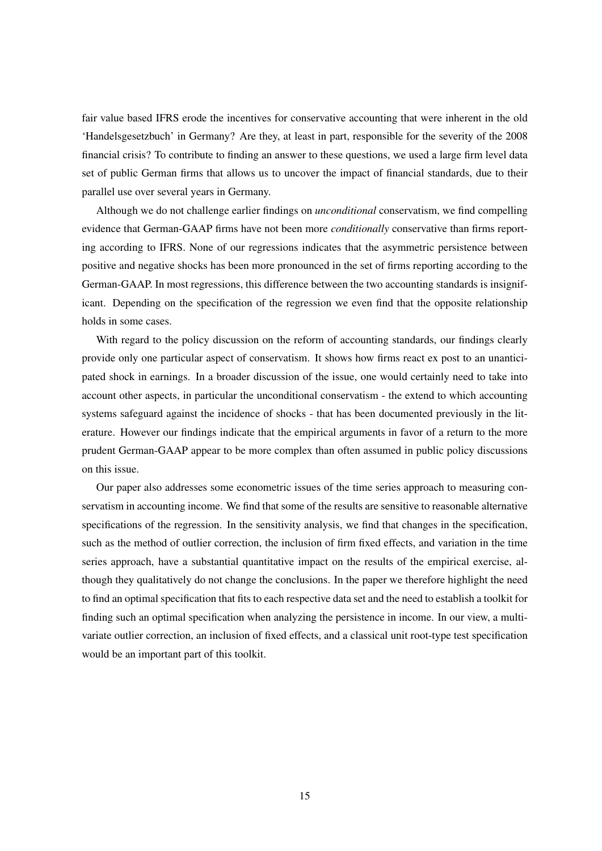fair value based IFRS erode the incentives for conservative accounting that were inherent in the old 'Handelsgesetzbuch' in Germany? Are they, at least in part, responsible for the severity of the 2008 financial crisis? To contribute to finding an answer to these questions, we used a large firm level data set of public German firms that allows us to uncover the impact of financial standards, due to their parallel use over several years in Germany.

Although we do not challenge earlier findings on *unconditional* conservatism, we find compelling evidence that German-GAAP firms have not been more *conditionally* conservative than firms reporting according to IFRS. None of our regressions indicates that the asymmetric persistence between positive and negative shocks has been more pronounced in the set of firms reporting according to the German-GAAP. In most regressions, this difference between the two accounting standards is insignificant. Depending on the specification of the regression we even find that the opposite relationship holds in some cases.

With regard to the policy discussion on the reform of accounting standards, our findings clearly provide only one particular aspect of conservatism. It shows how firms react ex post to an unanticipated shock in earnings. In a broader discussion of the issue, one would certainly need to take into account other aspects, in particular the unconditional conservatism - the extend to which accounting systems safeguard against the incidence of shocks - that has been documented previously in the literature. However our findings indicate that the empirical arguments in favor of a return to the more prudent German-GAAP appear to be more complex than often assumed in public policy discussions on this issue.

Our paper also addresses some econometric issues of the time series approach to measuring conservatism in accounting income. We find that some of the results are sensitive to reasonable alternative specifications of the regression. In the sensitivity analysis, we find that changes in the specification, such as the method of outlier correction, the inclusion of firm fixed effects, and variation in the time series approach, have a substantial quantitative impact on the results of the empirical exercise, although they qualitatively do not change the conclusions. In the paper we therefore highlight the need to find an optimal specification that fits to each respective data set and the need to establish a toolkit for finding such an optimal specification when analyzing the persistence in income. In our view, a multivariate outlier correction, an inclusion of fixed effects, and a classical unit root-type test specification would be an important part of this toolkit.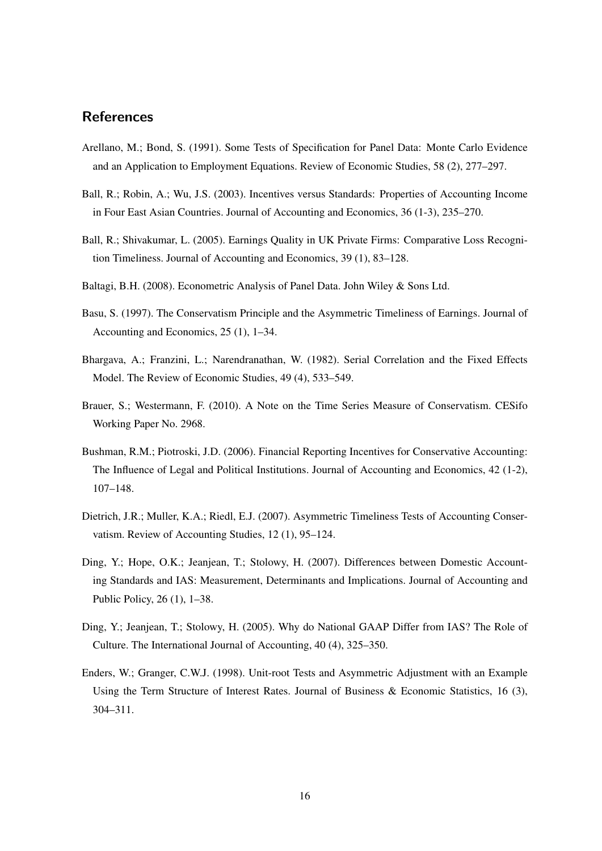# **References**

- Arellano, M.; Bond, S. (1991). Some Tests of Specification for Panel Data: Monte Carlo Evidence and an Application to Employment Equations. Review of Economic Studies, 58 (2), 277–297.
- Ball, R.; Robin, A.; Wu, J.S. (2003). Incentives versus Standards: Properties of Accounting Income in Four East Asian Countries. Journal of Accounting and Economics, 36 (1-3), 235–270.
- Ball, R.; Shivakumar, L. (2005). Earnings Quality in UK Private Firms: Comparative Loss Recognition Timeliness. Journal of Accounting and Economics, 39 (1), 83–128.
- Baltagi, B.H. (2008). Econometric Analysis of Panel Data. John Wiley & Sons Ltd.
- Basu, S. (1997). The Conservatism Principle and the Asymmetric Timeliness of Earnings. Journal of Accounting and Economics, 25 (1), 1–34.
- Bhargava, A.; Franzini, L.; Narendranathan, W. (1982). Serial Correlation and the Fixed Effects Model. The Review of Economic Studies, 49 (4), 533–549.
- Brauer, S.; Westermann, F. (2010). A Note on the Time Series Measure of Conservatism. CESifo Working Paper No. 2968.
- Bushman, R.M.; Piotroski, J.D. (2006). Financial Reporting Incentives for Conservative Accounting: The Influence of Legal and Political Institutions. Journal of Accounting and Economics, 42 (1-2), 107–148.
- Dietrich, J.R.; Muller, K.A.; Riedl, E.J. (2007). Asymmetric Timeliness Tests of Accounting Conservatism. Review of Accounting Studies, 12 (1), 95–124.
- Ding, Y.; Hope, O.K.; Jeanjean, T.; Stolowy, H. (2007). Differences between Domestic Accounting Standards and IAS: Measurement, Determinants and Implications. Journal of Accounting and Public Policy, 26 (1), 1–38.
- Ding, Y.; Jeanjean, T.; Stolowy, H. (2005). Why do National GAAP Differ from IAS? The Role of Culture. The International Journal of Accounting, 40 (4), 325–350.
- Enders, W.; Granger, C.W.J. (1998). Unit-root Tests and Asymmetric Adjustment with an Example Using the Term Structure of Interest Rates. Journal of Business & Economic Statistics, 16 (3), 304–311.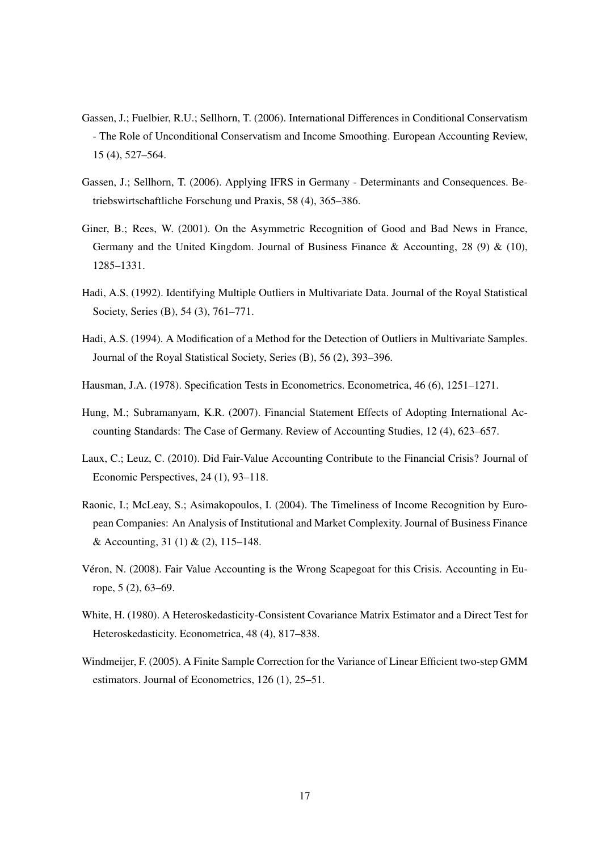- Gassen, J.; Fuelbier, R.U.; Sellhorn, T. (2006). International Differences in Conditional Conservatism - The Role of Unconditional Conservatism and Income Smoothing. European Accounting Review, 15 (4), 527–564.
- Gassen, J.; Sellhorn, T. (2006). Applying IFRS in Germany Determinants and Consequences. Betriebswirtschaftliche Forschung und Praxis, 58 (4), 365–386.
- Giner, B.; Rees, W. (2001). On the Asymmetric Recognition of Good and Bad News in France, Germany and the United Kingdom. Journal of Business Finance & Accounting, 28 (9) & (10), 1285–1331.
- Hadi, A.S. (1992). Identifying Multiple Outliers in Multivariate Data. Journal of the Royal Statistical Society, Series (B), 54 (3), 761-771.
- Hadi, A.S. (1994). A Modification of a Method for the Detection of Outliers in Multivariate Samples. Journal of the Royal Statistical Society, Series (B), 56 (2), 393–396.
- Hausman, J.A. (1978). Specification Tests in Econometrics. Econometrica, 46 (6), 1251–1271.
- Hung, M.; Subramanyam, K.R. (2007). Financial Statement Effects of Adopting International Accounting Standards: The Case of Germany. Review of Accounting Studies, 12 (4), 623–657.
- Laux, C.; Leuz, C. (2010). Did Fair-Value Accounting Contribute to the Financial Crisis? Journal of Economic Perspectives, 24 (1), 93–118.
- Raonic, I.; McLeay, S.; Asimakopoulos, I. (2004). The Timeliness of Income Recognition by European Companies: An Analysis of Institutional and Market Complexity. Journal of Business Finance & Accounting, 31 (1) & (2), 115–148.
- Véron, N. (2008). Fair Value Accounting is the Wrong Scapegoat for this Crisis. Accounting in Europe, 5 (2), 63–69.
- White, H. (1980). A Heteroskedasticity-Consistent Covariance Matrix Estimator and a Direct Test for Heteroskedasticity. Econometrica, 48 (4), 817–838.
- Windmeijer, F. (2005). A Finite Sample Correction for the Variance of Linear Efficient two-step GMM estimators. Journal of Econometrics, 126 (1), 25–51.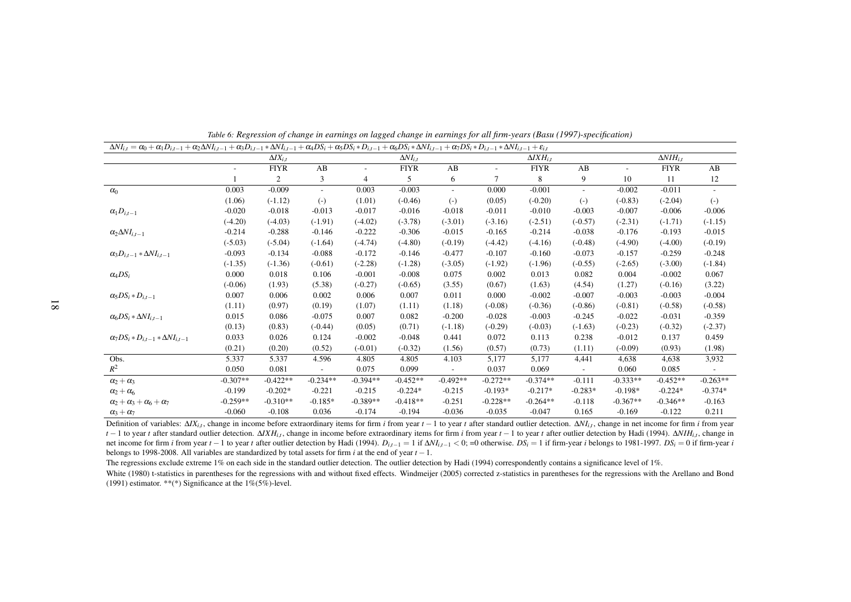| $\Delta NI_{i,t} = \alpha_0 + \alpha_1 D_{i,t-1} + \alpha_2 \Delta NI_{i,t-1} + \alpha_3 D_{i,t-1} * \Delta NI_{i,t-1} + \alpha_4 DS_i + \alpha_5 DS_i * D_{i,t-1} + \alpha_6 DS_i * \Delta NI_{i,t-1} + \alpha_7 DS_i * D_{i,t-1} * \Delta NI_{i,t-1} + \varepsilon_{i,t}$ |            |                    |            |            |                   |                          |                          |                      |                          |            |                    |            |
|-----------------------------------------------------------------------------------------------------------------------------------------------------------------------------------------------------------------------------------------------------------------------------|------------|--------------------|------------|------------|-------------------|--------------------------|--------------------------|----------------------|--------------------------|------------|--------------------|------------|
|                                                                                                                                                                                                                                                                             |            | $\Delta I X_{i,t}$ |            |            | $\Delta NI_{i.t}$ |                          |                          | $\Delta I X H_{i.t}$ |                          |            | $\Delta NIH_{i,t}$ |            |
|                                                                                                                                                                                                                                                                             |            | <b>FIYR</b>        | AB         | ٠          | <b>FIYR</b>       | AB                       | $\overline{\phantom{a}}$ | <b>FIYR</b>          | AB                       |            | <b>FIYR</b>        | AB         |
|                                                                                                                                                                                                                                                                             |            | 2                  | 3          | 4          | 5                 | 6                        | $\overline{7}$           | 8                    | 9                        | 10         | 11                 | 12         |
| $\alpha_0$                                                                                                                                                                                                                                                                  | 0.003      | $-0.009$           |            | 0.003      | $-0.003$          | $\overline{\phantom{a}}$ | 0.000                    | $-0.001$             | $\overline{\phantom{a}}$ | $-0.002$   | $-0.011$           |            |
|                                                                                                                                                                                                                                                                             | (1.06)     | $(-1.12)$          | $(-)$      | (1.01)     | $(-0.46)$         | $(-)$                    | (0.05)                   | $(-0.20)$            | $(-)$                    | $(-0.83)$  | $(-2.04)$          | $(-)$      |
| $\alpha_1D_{i,t-1}$                                                                                                                                                                                                                                                         | $-0.020$   | $-0.018$           | $-0.013$   | $-0.017$   | $-0.016$          | $-0.018$                 | $-0.011$                 | $-0.010$             | $-0.003$                 | $-0.007$   | $-0.006$           | $-0.006$   |
|                                                                                                                                                                                                                                                                             | $(-4.20)$  | $(-4.03)$          | $(-1.91)$  | $(-4.02)$  | $(-3.78)$         | $(-3.01)$                | $(-3.16)$                | $(-2.51)$            | $(-0.57)$                | $(-2.31)$  | $(-1.71)$          | $(-1.15)$  |
| $\alpha_2 \Delta NI_{i,t-1}$                                                                                                                                                                                                                                                | $-0.214$   | $-0.288$           | $-0.146$   | $-0.222$   | $-0.306$          | $-0.015$                 | $-0.165$                 | $-0.214$             | $-0.038$                 | $-0.176$   | $-0.193$           | $-0.015$   |
|                                                                                                                                                                                                                                                                             | $(-5.03)$  | $(-5.04)$          | $(-1.64)$  | $(-4.74)$  | $(-4.80)$         | $(-0.19)$                | $(-4.42)$                | $(-4.16)$            | $(-0.48)$                | $(-4.90)$  | $(-4.00)$          | $(-0.19)$  |
| $\alpha_3D_{i,t-1}*\Delta NI_{i,t-1}$                                                                                                                                                                                                                                       | $-0.093$   | $-0.134$           | $-0.088$   | $-0.172$   | $-0.146$          | $-0.477$                 | $-0.107$                 | $-0.160$             | $-0.073$                 | $-0.157$   | $-0.259$           | $-0.248$   |
|                                                                                                                                                                                                                                                                             | $(-1.35)$  | $(-1.36)$          | $(-0.61)$  | $(-2.28)$  | $(-1.28)$         | $(-3.05)$                | $(-1.92)$                | $(-1.96)$            | $(-0.55)$                | $(-2.65)$  | $(-3.00)$          | $(-1.84)$  |
| $\alpha_4 DS_i$                                                                                                                                                                                                                                                             | 0.000      | 0.018              | 0.106      | $-0.001$   | $-0.008$          | 0.075                    | 0.002                    | 0.013                | 0.082                    | 0.004      | $-0.002$           | 0.067      |
|                                                                                                                                                                                                                                                                             | $(-0.06)$  | (1.93)             | (5.38)     | $(-0.27)$  | $(-0.65)$         | (3.55)                   | (0.67)                   | (1.63)               | (4.54)                   | (1.27)     | $(-0.16)$          | (3.22)     |
| $\alpha_5 DS_i * D_{i,t-1}$                                                                                                                                                                                                                                                 | 0.007      | 0.006              | 0.002      | 0.006      | 0.007             | 0.011                    | 0.000                    | $-0.002$             | $-0.007$                 | $-0.003$   | $-0.003$           | $-0.004$   |
|                                                                                                                                                                                                                                                                             | (1.11)     | (0.97)             | (0.19)     | (1.07)     | (1.11)            | (1.18)                   | $(-0.08)$                | $(-0.36)$            | $(-0.86)$                | $(-0.81)$  | $(-0.58)$          | $(-0.58)$  |
| $\alpha_6 DS_i * \Delta NI_{i,t-1}$                                                                                                                                                                                                                                         | 0.015      | 0.086              | $-0.075$   | 0.007      | 0.082             | $-0.200$                 | $-0.028$                 | $-0.003$             | $-0.245$                 | $-0.022$   | $-0.031$           | $-0.359$   |
|                                                                                                                                                                                                                                                                             | (0.13)     | (0.83)             | $(-0.44)$  | (0.05)     | (0.71)            | $(-1.18)$                | $(-0.29)$                | $(-0.03)$            | $(-1.63)$                | $(-0.23)$  | $(-0.32)$          | $(-2.37)$  |
| $\alpha_7 DS_i * D_{i,t-1} * \Delta NI_{i,t-1}$                                                                                                                                                                                                                             | 0.033      | 0.026              | 0.124      | $-0.002$   | $-0.048$          | 0.441                    | 0.072                    | 0.113                | 0.238                    | $-0.012$   | 0.137              | 0.459      |
|                                                                                                                                                                                                                                                                             | (0.21)     | (0.20)             | (0.52)     | $(-0.01)$  | $(-0.32)$         | (1.56)                   | (0.57)                   | (0.73)               | (1.11)                   | $(-0.09)$  | (0.93)             | (1.98)     |
| Obs.                                                                                                                                                                                                                                                                        | 5.337      | 5.337              | 4.596      | 4.805      | 4.805             | 4.103                    | 5,177                    | 5.177                | 4,441                    | 4.638      | 4,638              | 3,932      |
| $R^2$                                                                                                                                                                                                                                                                       | 0.050      | 0.081              |            | 0.075      | 0.099             | $\overline{\phantom{a}}$ | 0.037                    | 0.069                | $\overline{\phantom{a}}$ | 0.060      | 0.085              |            |
| $\alpha_2 + \alpha_3$                                                                                                                                                                                                                                                       | $-0.307**$ | $-0.422**$         | $-0.234**$ | $-0.394**$ | $-0.452**$        | $-0.492**$               | $-0.272**$               | $-0.374**$           | $-0.111$                 | $-0.333**$ | $-0.452**$         | $-0.263**$ |
| $\alpha_2 + \alpha_6$                                                                                                                                                                                                                                                       | $-0.199$   | $-0.202*$          | $-0.221$   | $-0.215$   | $-0.224*$         | $-0.215$                 | $-0.193*$                | $-0.217*$            | $-0.283*$                | $-0.198*$  | $-0.224*$          | $-0.374*$  |
| $\alpha_2 + \alpha_3 + \alpha_6 + \alpha_7$                                                                                                                                                                                                                                 | $-0.259**$ | $-0.310**$         | $-0.185*$  | $-0.389**$ | $-0.418**$        | $-0.251$                 | $-0.228**$               | $-0.264**$           | $-0.118$                 | $-0.367**$ | $-0.346**$         | $-0.163$   |
| $\alpha_3 + \alpha_7$                                                                                                                                                                                                                                                       | $-0.060$   | $-0.108$           | 0.036      | $-0.174$   | $-0.194$          | $-0.036$                 | $-0.035$                 | $-0.047$             | 0.165                    | $-0.169$   | $-0.122$           | 0.211      |

Table 6: Regression of change in earnings on lagged change in earnings for all firm-years (Basu (1997)-specification)

Definition of variables:  $\Delta X_{i,t}$ , change in income before extraordinary items for firm i from year  $t-1$  to year t after standard outlier detection.  $\Delta N_{i,t}$ , change in net income for firm i from year  $t-1$  to year t after standard outlier detection.  $\Delta X H_{i,t}$ , change in income before extraordinary items for firm i from year  $t-1$  to year t after outlier detection by Hadi (1994).  $\Delta N H_{i,t}$ , change in net income for firm *i* from year  $t - 1$  to year t after outlier detection by Hadi (1994).  $D_{i,t-1} = 1$  if  $\Delta NI_{i,t-1} < 0$ ; =0 otherwise.  $DS_i = 1$  if firm-year i belongs to 1981-1997.  $DS_i = 0$  if firm-year i belongs to 1998-2008. All variables are standardized by total assets for firm *<sup>i</sup>* at the end of year *<sup>t</sup>* <sup>−</sup>1.

The regressions exclude extreme 1% on each side in the standard outlier detection. The outlier detection by Hadi (1994) correspondently contains a significance level of 1%.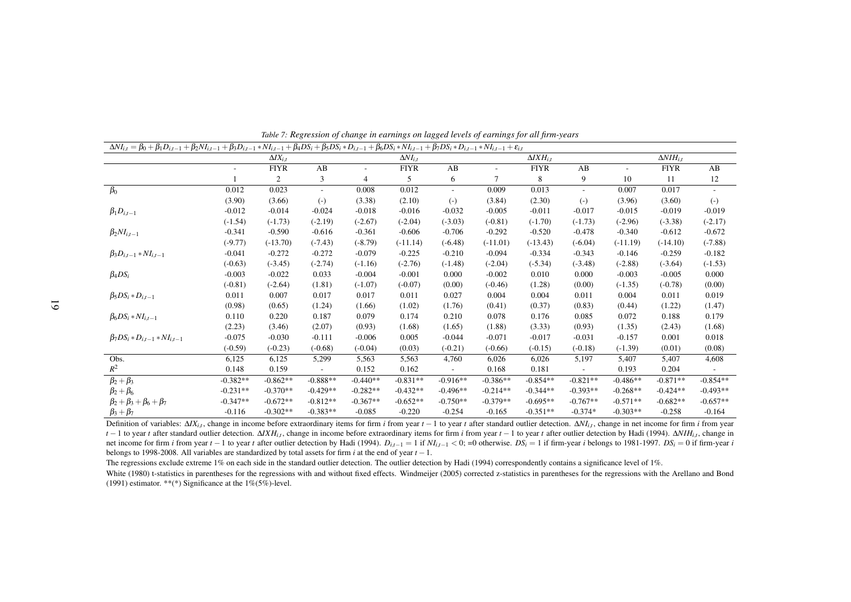| $\Delta NI_{i,t} = \beta_0 + \beta_1 D_{i,t-1} + \beta_2 NI_{i,t-1} + \beta_3 D_{i,t-1} * NI_{i,t-1} + \beta_4 DS_i + \beta_5 DS_i * D_{i,t-1} + \beta_6 DS_i * NI_{i,t-1} + \beta_7 DS_i * D_{i,t-1} * NI_{i,t-1} + \varepsilon_{i,t}$ |            |                    |            |            |                   |            |                          |                                              |                          |            |                      |                          |
|-----------------------------------------------------------------------------------------------------------------------------------------------------------------------------------------------------------------------------------------|------------|--------------------|------------|------------|-------------------|------------|--------------------------|----------------------------------------------|--------------------------|------------|----------------------|--------------------------|
|                                                                                                                                                                                                                                         |            | $\Delta I X_{i,t}$ |            |            | $\Delta NI_{i.t}$ |            |                          | $\overline{\Delta}$ <i>IXH<sub>i,t</sub></i> |                          |            | $\Delta N I H_{i.t}$ |                          |
|                                                                                                                                                                                                                                         |            | <b>FIYR</b>        | AB         |            | <b>FIYR</b>       | AB         | $\overline{\phantom{a}}$ | <b>FIYR</b>                                  | AB                       |            | <b>FIYR</b>          | AB                       |
|                                                                                                                                                                                                                                         |            | 2                  | 3          | 4          | 5                 | 6          | 7                        | 8                                            | 9                        | 10         | 11                   | 12                       |
| $\beta_0$                                                                                                                                                                                                                               | 0.012      | 0.023              | Ξ.         | 0.008      | 0.012             | $\sim$     | 0.009                    | 0.013                                        | $\overline{\phantom{a}}$ | 0.007      | 0.017                | $\overline{\phantom{a}}$ |
|                                                                                                                                                                                                                                         | (3.90)     | (3.66)             | $(-)$      | (3.38)     | (2.10)            | $(-)$      | (3.84)                   | (2.30)                                       | $(-)$                    | (3.96)     | (3.60)               | $(-)$                    |
| $\beta_1 D_{i,t-1}$                                                                                                                                                                                                                     | $-0.012$   | $-0.014$           | $-0.024$   | $-0.018$   | $-0.016$          | $-0.032$   | $-0.005$                 | $-0.011$                                     | $-0.017$                 | $-0.015$   | $-0.019$             | $-0.019$                 |
|                                                                                                                                                                                                                                         | $(-1.54)$  | $(-1.73)$          | $(-2.19)$  | $(-2.67)$  | $(-2.04)$         | $(-3.03)$  | $(-0.81)$                | $(-1.70)$                                    | $(-1.73)$                | $(-2.96)$  | $(-3.38)$            | $(-2.17)$                |
| $\beta_2 NI_{i,t-1}$                                                                                                                                                                                                                    | $-0.341$   | $-0.590$           | $-0.616$   | $-0.361$   | $-0.606$          | $-0.706$   | $-0.292$                 | $-0.520$                                     | $-0.478$                 | $-0.340$   | $-0.612$             | $-0.672$                 |
|                                                                                                                                                                                                                                         | $(-9.77)$  | $(-13.70)$         | $(-7.43)$  | $(-8.79)$  | $(-11.14)$        | $(-6.48)$  | $(-11.01)$               | $(-13.43)$                                   | $(-6.04)$                | $(-11.19)$ | $(-14.10)$           | $(-7.88)$                |
| $\beta_3 D_{i,t-1} * NI_{i,t-1}$                                                                                                                                                                                                        | $-0.041$   | $-0.272$           | $-0.272$   | $-0.079$   | $-0.225$          | $-0.210$   | $-0.094$                 | $-0.334$                                     | $-0.343$                 | $-0.146$   | $-0.259$             | $-0.182$                 |
|                                                                                                                                                                                                                                         | $(-0.63)$  | $(-3.45)$          | $(-2.74)$  | $(-1.16)$  | $(-2.76)$         | $(-1.48)$  | $(-2.04)$                | $(-5.34)$                                    | $(-3.48)$                | $(-2.88)$  | $(-3.64)$            | $(-1.53)$                |
| $\beta_4DS_i$                                                                                                                                                                                                                           | $-0.003$   | $-0.022$           | 0.033      | $-0.004$   | $-0.001$          | 0.000      | $-0.002$                 | 0.010                                        | 0.000                    | $-0.003$   | $-0.005$             | 0.000                    |
|                                                                                                                                                                                                                                         | $(-0.81)$  | $(-2.64)$          | (1.81)     | $(-1.07)$  | $(-0.07)$         | (0.00)     | $(-0.46)$                | (1.28)                                       | (0.00)                   | $(-1.35)$  | $(-0.78)$            | (0.00)                   |
| $\beta_5DS_i*D_{i,t-1}$                                                                                                                                                                                                                 | 0.011      | 0.007              | 0.017      | 0.017      | 0.011             | 0.027      | 0.004                    | 0.004                                        | 0.011                    | 0.004      | 0.011                | 0.019                    |
|                                                                                                                                                                                                                                         | (0.98)     | (0.65)             | (1.24)     | (1.66)     | (1.02)            | (1.76)     | (0.41)                   | (0.37)                                       | (0.83)                   | (0.44)     | (1.22)               | (1.47)                   |
| $\beta_6DS_i * NI_{i,t-1}$                                                                                                                                                                                                              | 0.110      | 0.220              | 0.187      | 0.079      | 0.174             | 0.210      | 0.078                    | 0.176                                        | 0.085                    | 0.072      | 0.188                | 0.179                    |
|                                                                                                                                                                                                                                         | (2.23)     | (3.46)             | (2.07)     | (0.93)     | (1.68)            | (1.65)     | (1.88)                   | (3.33)                                       | (0.93)                   | (1.35)     | (2.43)               | (1.68)                   |
| $\beta_7 DS_i * D_{i,t-1} * NI_{i,t-1}$                                                                                                                                                                                                 | $-0.075$   | $-0.030$           | $-0.111$   | $-0.006$   | 0.005             | $-0.044$   | $-0.071$                 | $-0.017$                                     | $-0.031$                 | $-0.157$   | 0.001                | 0.018                    |
|                                                                                                                                                                                                                                         | $(-0.59)$  | $(-0.23)$          | $(-0.68)$  | $(-0.04)$  | (0.03)            | $(-0.21)$  | $(-0.66)$                | $(-0.15)$                                    | $(-0.18)$                | $(-1.39)$  | (0.01)               | (0.08)                   |
| Obs.                                                                                                                                                                                                                                    | 6,125      | 6,125              | 5,299      | 5,563      | 5,563             | 4,760      | 6,026                    | 6,026                                        | 5,197                    | 5,407      | 5,407                | 4,608                    |
| $R^2$                                                                                                                                                                                                                                   | 0.148      | 0.159              |            | 0.152      | 0.162             |            | 0.168                    | 0.181                                        |                          | 0.193      | 0.204                |                          |
| $\beta_2+\beta_3$                                                                                                                                                                                                                       | $-0.382**$ | $-0.862**$         | $-0.888**$ | $-0.440**$ | $-0.831**$        | $-0.916**$ | $-0.386**$               | $-0.854**$                                   | $-0.821**$               | $-0.486**$ | $-0.871**$           | $-0.854**$               |
| $\beta_2+\beta_6$                                                                                                                                                                                                                       | $-0.231**$ | $-0.370**$         | $-0.429**$ | $-0.282**$ | $-0.432**$        | $-0.496**$ | $-0.214**$               | $-0.344**$                                   | $-0.393**$               | $-0.268**$ | $-0.424**$           | $-0.493**$               |
| $\beta_2 + \beta_3 + \beta_6 + \beta_7$                                                                                                                                                                                                 | $-0.347**$ | $-0.672**$         | $-0.812**$ | $-0.367**$ | $-0.652**$        | $-0.750**$ | $-0.379**$               | $-0.695**$                                   | $-0.767**$               | $-0.571**$ | $-0.682**$           | $-0.657**$               |
| $\beta_3 + \beta_7$                                                                                                                                                                                                                     | $-0.116$   | $-0.302**$         | $-0.383**$ | $-0.085$   | $-0.220$          | $-0.254$   | $-0.165$                 | $-0.351**$                                   | $-0.374*$                | $-0.303**$ | $-0.258$             | $-0.164$                 |

Table 7: Regression of change in earnings on lagged levels of earnings for all firm-years

Definition of variables:  $\Delta X_{i,t}$ , change in income before extraordinary items for firm i from year  $t-1$  to year t after standard outlier detection.  $\Delta N_{i,t}$ , change in net income for firm i from year  $t-1$  to year t after standard outlier detection.  $\Delta I X H_{i,t}$ , change in income before extraordinary items for firm i from year  $t-1$  to year t after outlier detection by Hadi (1994).  $\Delta NI H_{i,t}$ , change in net income for firm *i* from year  $t-1$  to year t after outlier detection by Hadi (1994).  $D_{i,t-1} = 1$  if  $NI_{i,t-1} < 0$ ; =0 otherwise.  $DS_i = 1$  if firm-year *i* belongs to 1981-1997.  $DS_i = 0$  if firm-year *i* belongs to 1998-2008. All variables are standardized by total assets for firm *<sup>i</sup>* at the end of year *<sup>t</sup>* <sup>−</sup>1.

The regressions exclude extreme 1% on each side in the standard outlier detection. The outlier detection by Hadi (1994) correspondently contains a significance level of 1%.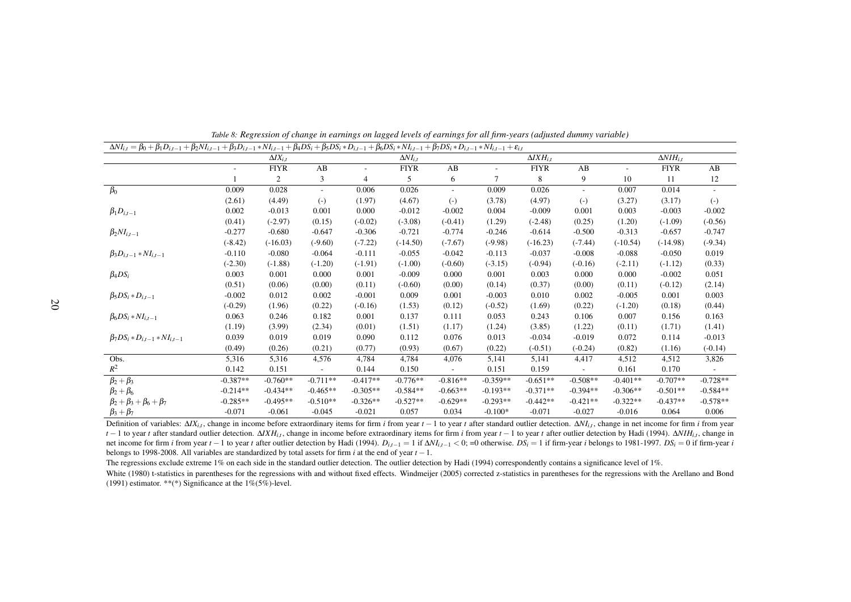| $\Delta NI_{i,t} = \beta_0 + \beta_1 D_{i,t-1} + \beta_2 NI_{i,t-1} + \beta_3 D_{i,t-1} * NI_{i,t-1} + \beta_4 DS_i + \beta_5 DS_i * D_{i,t-1} + \beta_6 DS_i * NI_{i,t-1} + \beta_7 DS_i * D_{i,t-1} * NI_{i,t-1} + \varepsilon_{i,t}$ |            |                    |            |            |                   |            |                          |                      |                          |            |                      |            |
|-----------------------------------------------------------------------------------------------------------------------------------------------------------------------------------------------------------------------------------------|------------|--------------------|------------|------------|-------------------|------------|--------------------------|----------------------|--------------------------|------------|----------------------|------------|
|                                                                                                                                                                                                                                         |            | $\Delta I X_{i,t}$ |            |            | $\Delta NI_{i.t}$ |            |                          | $\Delta I X H_{i.t}$ |                          |            | $\Delta N I H_{i.t}$ |            |
|                                                                                                                                                                                                                                         |            | <b>FIYR</b>        | AB         |            | <b>FIYR</b>       | AB         | $\overline{\phantom{a}}$ | <b>FIYR</b>          | AB                       |            | <b>FIYR</b>          | AB         |
|                                                                                                                                                                                                                                         |            | 2                  | 3          | 4          | 5                 | 6          | 7                        | 8                    | 9                        | 10         | -11                  | 12         |
| $\beta_0$                                                                                                                                                                                                                               | 0.009      | 0.028              |            | 0.006      | 0.026             | $\sim$     | 0.009                    | 0.026                | $\overline{\phantom{a}}$ | 0.007      | 0.014                |            |
|                                                                                                                                                                                                                                         | (2.61)     | (4.49)             | $(-)$      | (1.97)     | (4.67)            | $(-)$      | (3.78)                   | (4.97)               | $(-)$                    | (3.27)     | (3.17)               | $(-)$      |
| $\beta_1 D_{i,t-1}$                                                                                                                                                                                                                     | 0.002      | $-0.013$           | 0.001      | 0.000      | $-0.012$          | $-0.002$   | 0.004                    | $-0.009$             | 0.001                    | 0.003      | $-0.003$             | $-0.002$   |
|                                                                                                                                                                                                                                         | (0.41)     | $(-2.97)$          | (0.15)     | $(-0.02)$  | $(-3.08)$         | $(-0.41)$  | (1.29)                   | $(-2.48)$            | (0.25)                   | (1.20)     | $(-1.09)$            | $(-0.56)$  |
| $\beta_2 NI_{i,t-1}$                                                                                                                                                                                                                    | $-0.277$   | $-0.680$           | $-0.647$   | $-0.306$   | $-0.721$          | $-0.774$   | $-0.246$                 | $-0.614$             | $-0.500$                 | $-0.313$   | $-0.657$             | $-0.747$   |
|                                                                                                                                                                                                                                         | $(-8.42)$  | $(-16.03)$         | $(-9.60)$  | $(-7.22)$  | $(-14.50)$        | $(-7.67)$  | $(-9.98)$                | $(-16.23)$           | $(-7.44)$                | $(-10.54)$ | $(-14.98)$           | $(-9.34)$  |
| $\beta_3 D_{i,t-1} * NI_{i,t-1}$                                                                                                                                                                                                        | $-0.110$   | $-0.080$           | $-0.064$   | $-0.111$   | $-0.055$          | $-0.042$   | $-0.113$                 | $-0.037$             | $-0.008$                 | $-0.088$   | $-0.050$             | 0.019      |
|                                                                                                                                                                                                                                         | $(-2.30)$  | $(-1.88)$          | $(-1.20)$  | $(-1.91)$  | $(-1.00)$         | $(-0.60)$  | $(-3.15)$                | $(-0.94)$            | $(-0.16)$                | $(-2.11)$  | $(-1.12)$            | (0.33)     |
| $\beta_4DS_i$                                                                                                                                                                                                                           | 0.003      | 0.001              | 0.000      | 0.001      | $-0.009$          | 0.000      | 0.001                    | 0.003                | 0.000                    | 0.000      | $-0.002$             | 0.051      |
|                                                                                                                                                                                                                                         | (0.51)     | (0.06)             | (0.00)     | (0.11)     | $(-0.60)$         | (0.00)     | (0.14)                   | (0.37)               | (0.00)                   | (0.11)     | $(-0.12)$            | (2.14)     |
| $\beta_5DS_i*D_{i,t-1}$                                                                                                                                                                                                                 | $-0.002$   | 0.012              | 0.002      | $-0.001$   | 0.009             | 0.001      | $-0.003$                 | 0.010                | 0.002                    | $-0.005$   | 0.001                | 0.003      |
|                                                                                                                                                                                                                                         | $(-0.29)$  | (1.96)             | (0.22)     | $(-0.16)$  | (1.53)            | (0.12)     | $(-0.52)$                | (1.69)               | (0.22)                   | $(-1.20)$  | (0.18)               | (0.44)     |
| $\beta_6DS_i * NI_{i,t-1}$                                                                                                                                                                                                              | 0.063      | 0.246              | 0.182      | 0.001      | 0.137             | 0.111      | 0.053                    | 0.243                | 0.106                    | 0.007      | 0.156                | 0.163      |
|                                                                                                                                                                                                                                         | (1.19)     | (3.99)             | (2.34)     | (0.01)     | (1.51)            | (1.17)     | (1.24)                   | (3.85)               | (1.22)                   | (0.11)     | (1.71)               | (1.41)     |
| $\beta_7 DS_i * D_{i,t-1} * NI_{i,t-1}$                                                                                                                                                                                                 | 0.039      | 0.019              | 0.019      | 0.090      | 0.112             | 0.076      | 0.013                    | $-0.034$             | $-0.019$                 | 0.072      | 0.114                | $-0.013$   |
|                                                                                                                                                                                                                                         | (0.49)     | (0.26)             | (0.21)     | (0.77)     | (0.93)            | (0.67)     | (0.22)                   | $(-0.51)$            | $(-0.24)$                | (0.82)     | (1.16)               | $(-0.14)$  |
| Obs.                                                                                                                                                                                                                                    | 5,316      | 5,316              | 4,576      | 4,784      | 4,784             | 4,076      | 5,141                    | 5,141                | 4,417                    | 4,512      | 4,512                | 3,826      |
| $R^2$                                                                                                                                                                                                                                   | 0.142      | 0.151              |            | 0.144      | 0.150             |            | 0.151                    | 0.159                |                          | 0.161      | 0.170                |            |
| $\beta_2+\beta_3$                                                                                                                                                                                                                       | $-0.387**$ | $-0.760**$         | $-0.711**$ | $-0.417**$ | $-0.776**$        | $-0.816**$ | $-0.359**$               | $-0.651**$           | $-0.508**$               | $-0.401**$ | $-0.707**$           | $-0.728**$ |
| $\beta_2+\beta_6$                                                                                                                                                                                                                       | $-0.214**$ | $-0.434**$         | $-0.465**$ | $-0.305**$ | $-0.584**$        | $-0.663**$ | $-0.193**$               | $-0.371**$           | $-0.394**$               | $-0.306**$ | $-0.501**$           | $-0.584**$ |
| $\beta_2 + \beta_3 + \beta_6 + \beta_7$                                                                                                                                                                                                 | $-0.285**$ | $-0.495**$         | $-0.510**$ | $-0.326**$ | $-0.527**$        | $-0.629**$ | $-0.293**$               | $-0.442**$           | $-0.421**$               | $-0.322**$ | $-0.437**$           | $-0.578**$ |
| $\beta_3 + \beta_7$                                                                                                                                                                                                                     | $-0.071$   | $-0.061$           | $-0.045$   | $-0.021$   | 0.057             | 0.034      | $-0.100*$                | $-0.071$             | $-0.027$                 | $-0.016$   | 0.064                | 0.006      |

Table 8: Regression of change in earnings on lagged levels of earnings for all firm-years (adjusted dummy variable)

Definition of variables:  $\Delta X_{i,t}$ , change in income before extraordinary items for firm i from year  $t-1$  to year t after standard outlier detection.  $\Delta N_{i,t}$ , change in net income for firm i from year  $t-1$  to year t after standard outlier detection.  $\Delta X H_{i,t}$ , change in income before extraordinary items for firm i from year  $t-1$  to year t after outlier detection by Hadi (1994).  $\Delta N H_{i,t}$ , change in net income for firm *i* from year  $t - 1$  to year t after outlier detection by Hadi (1994).  $D_{i,t-1} = 1$  if  $\Delta NI_{i,t-1} < 0$ ; =0 otherwise.  $DS_i = 1$  if firm-year i belongs to 1981-1997.  $DS_i = 0$  if firm-year i belongs to 1998-2008. All variables are standardized by total assets for firm *<sup>i</sup>* at the end of year *<sup>t</sup>* <sup>−</sup>1.

The regressions exclude extreme 1% on each side in the standard outlier detection. The outlier detection by Hadi (1994) correspondently contains <sup>a</sup> significance level of 1%.